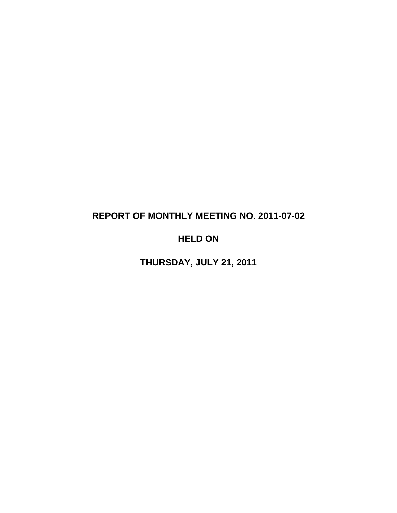# **REPORT OF MONTHLY MEETING NO. 2011-07-02**

# **HELD ON**

**THURSDAY, JULY 21, 2011**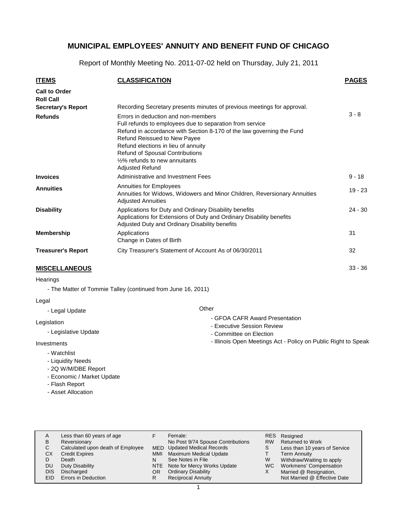Report of Monthly Meeting No. 2011-07-02 held on Thursday, July 21, 2011

| <b>ITEMS</b>                                                          | <b>CLASSIFICATION</b>                                                                                                                                                                                                                                                                                                                          | <b>PAGES</b> |
|-----------------------------------------------------------------------|------------------------------------------------------------------------------------------------------------------------------------------------------------------------------------------------------------------------------------------------------------------------------------------------------------------------------------------------|--------------|
| <b>Call to Order</b><br><b>Roll Call</b><br><b>Secretary's Report</b> | Recording Secretary presents minutes of previous meetings for approval.                                                                                                                                                                                                                                                                        |              |
| <b>Refunds</b>                                                        | Errors in deduction and non-members<br>Full refunds to employees due to separation from service<br>Refund in accordance with Section 8-170 of the law governing the Fund<br>Refund Reissued to New Payee<br>Refund elections in lieu of annuity<br>Refund of Spousal Contributions<br>1/2% refunds to new annuitants<br><b>Adjusted Refund</b> | $3 - 8$      |
| <b>Invoices</b>                                                       | Administrative and Investment Fees                                                                                                                                                                                                                                                                                                             | $9 - 18$     |
| <b>Annuities</b>                                                      | Annuities for Employees<br>Annuities for Widows, Widowers and Minor Children, Reversionary Annuities<br><b>Adjusted Annuities</b>                                                                                                                                                                                                              | $19 - 23$    |
| <b>Disability</b>                                                     | Applications for Duty and Ordinary Disability benefits<br>Applications for Extensions of Duty and Ordinary Disability benefits<br>Adjusted Duty and Ordinary Disability benefits                                                                                                                                                               | $24 - 30$    |
| <b>Membership</b>                                                     | Applications<br>Change in Dates of Birth                                                                                                                                                                                                                                                                                                       | 31           |
| <b>Treasurer's Report</b>                                             | City Treasurer's Statement of Account As of 06/30/2011                                                                                                                                                                                                                                                                                         | 32           |
| <b>MISCELLANEOUS</b>                                                  |                                                                                                                                                                                                                                                                                                                                                | $33 - 36$    |

#### **Hearings**

- The Matter of Tommie Talley (continued from June 16, 2011)

#### Legal

- Legal Update

#### Legislation

- Legislative Update

#### Investments

- Watchlist
- Liquidity Needs
- 2Q W/M/DBE Report
- Economic / Market Update
- Flash Report
- Asset Allocation

#### **Other**

- GFOA CAFR Award Presentation
- Executive Session Review
- Committee on Election
- Illinois Open Meetings Act Policy on Public Right to Speak

| В<br>С<br><b>CX</b><br>DU<br>DIS<br>EID | Less than 60 years of age<br>Reversionary<br>Calculated upon death of Employee<br><b>Credit Expires</b><br>Death<br>Duty Disability<br>Discharged<br>Errors in Deduction | MMI<br>N<br>OR<br>R | Female:<br>No Post 9/74 Spouse Contributions<br><b>MED</b> Updated Medical Records<br>Maximum Medical Update<br>See Notes in File<br>NTE Note for Mercy Works Update<br><b>Ordinary Disability</b><br><b>Reciprocal Annuity</b> | <b>RW</b><br>W<br>WC. | RES Resigned<br><b>Returned to Work</b><br>Less than 10 years of Service<br><b>Term Annuity</b><br>Withdraw/Waiting to apply<br>Workmens' Compensation<br>Married @ Resignation,<br>Not Married @ Effective Date |  |
|-----------------------------------------|--------------------------------------------------------------------------------------------------------------------------------------------------------------------------|---------------------|---------------------------------------------------------------------------------------------------------------------------------------------------------------------------------------------------------------------------------|-----------------------|------------------------------------------------------------------------------------------------------------------------------------------------------------------------------------------------------------------|--|
|-----------------------------------------|--------------------------------------------------------------------------------------------------------------------------------------------------------------------------|---------------------|---------------------------------------------------------------------------------------------------------------------------------------------------------------------------------------------------------------------------------|-----------------------|------------------------------------------------------------------------------------------------------------------------------------------------------------------------------------------------------------------|--|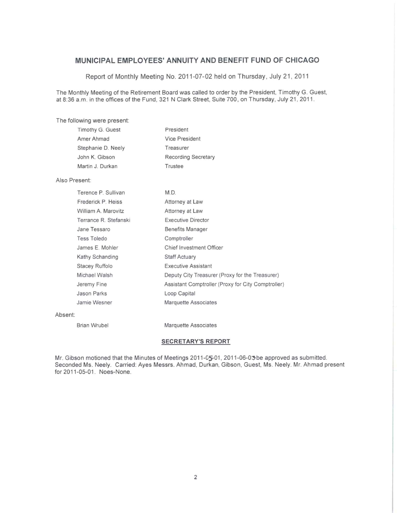Report of Monthly Meeting No. 2011-07-02 held on Thursday, July 21, 2011

The Monthly Meeting of the Retirement Board was called to order by the President, Timothy G. Guest, at 8:36 a.m. in the offices of the Fund, 321 N Clark Street, Suite 700, on Thursday, July 21, 2011.

The following were present:

| Timothy G. Guest   | President                  |
|--------------------|----------------------------|
| Amer Ahmad         | <b>Vice President</b>      |
| Stephanie D. Neely | Treasurer                  |
| John K. Gibson     | <b>Recording Secretary</b> |
| Martin J. Durkan   | Trustee                    |
|                    |                            |

#### Also Present:

| Terence P. Sullivan   | M.D.                                               |
|-----------------------|----------------------------------------------------|
| Frederick P. Heiss    | Attorney at Law                                    |
| William A. Marovitz   | Attorney at Law                                    |
| Terrance R. Stefanski | <b>Executive Director</b>                          |
| Jane Tessaro          | <b>Benefits Manager</b>                            |
| <b>Tess Toledo</b>    | Comptroller                                        |
| James E. Mohler       | Chief Investment Officer                           |
| Kathy Schanding       | <b>Staff Actuary</b>                               |
| Stacey Ruffolo        | <b>Executive Assistant</b>                         |
| Michael Walsh         | Deputy City Treasurer (Proxy for the Treasurer)    |
| Jeremy Fine           | Assistant Comptroller (Proxy for City Comptroller) |
| <b>Jason Parks</b>    | Loop Capital                                       |
| Jamie Wesner          | <b>Marquette Associates</b>                        |
|                       |                                                    |

#### Absent:

**Brian Wrubel** 

Marquette Associates

#### **SECRETARY'S REPORT**

Mr. Gibson motioned that the Minutes of Meetings 2011-05-01, 2011-06-03 be approved as submitted. Seconded Ms. Neely. Carried: Ayes Messrs. Ahmad, Durkan, Gibson, Guest, Ms. Neely. Mr. Ahmad present for 2011-05-01. Noes-None.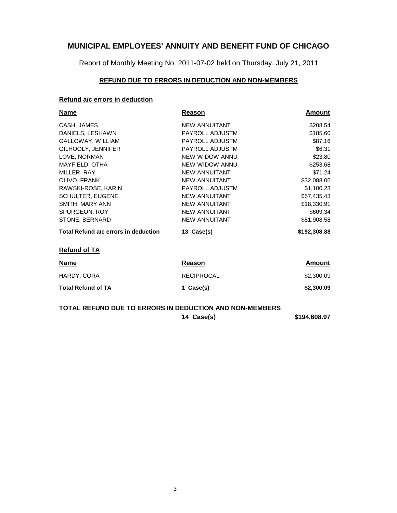Report of Monthly Meeting No. 2011-07-02 held on Thursday, July 21, 2011

#### **REFUND DUE TO ERRORS IN DEDUCTION AND NON-MEMBERS**

### **Refund a/c errors in deduction**

| <b>Name</b>                          | <u>Reason</u>        | <u>Amount</u> |
|--------------------------------------|----------------------|---------------|
| CASH, JAMES                          | <b>NEW ANNUITANT</b> | \$208.54      |
| DANIELS, LESHAWN                     | PAYROLL ADJUSTM      | \$185.60      |
| GALLOWAY, WILLIAM                    | PAYROLL ADJUSTM      | \$87.16       |
| GILHOOLY, JENNIFER                   | PAYROLL ADJUSTM      | \$6.31        |
| LOVE, NORMAN                         | NEW WIDOW ANNU       | \$23.80       |
| MAYFIELD, OTHA                       | NEW WIDOW ANNU       | \$253.68      |
| MILLER, RAY                          | <b>NEW ANNUITANT</b> | \$71.24       |
| OLIVO, FRANK                         | <b>NEW ANNUITANT</b> | \$32,088.06   |
| RAWSKI-ROSE, KARIN                   | PAYROLL ADJUSTM      | \$1,100.23    |
| <b>SCHULTER, EUGENE</b>              | <b>NEW ANNUITANT</b> | \$57,435.43   |
| SMITH, MARY ANN                      | <b>NEW ANNUITANT</b> | \$18,330.91   |
| SPURGEON, ROY                        | <b>NEW ANNUITANT</b> | \$609.34      |
| STONE, BERNARD                       | <b>NEW ANNUITANT</b> | \$81,908.58   |
| Total Refund a/c errors in deduction | 13 Case(s)           | \$192,308.88  |
| <b>Refund of TA</b>                  |                      |               |
| <u>Name</u>                          | Reason               | <u>Amount</u> |
| HARDY, CORA                          | <b>RECIPROCAL</b>    | \$2,300.09    |
| <b>Total Refund of TA</b>            | 1 Case(s)            | \$2,300.09    |
|                                      |                      |               |

### **14 Case(s) \$194,608.97 TOTAL REFUND DUE TO ERRORS IN DEDUCTION AND NON-MEMBERS**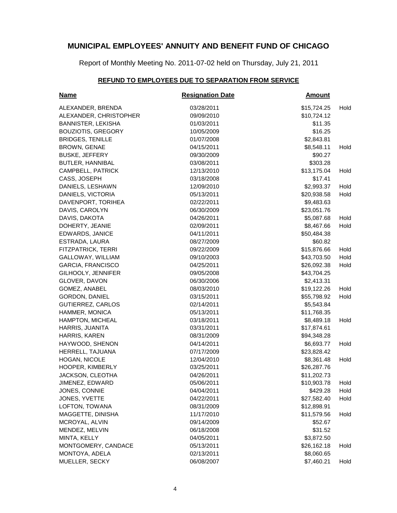Report of Monthly Meeting No. 2011-07-02 held on Thursday, July 21, 2011

### **REFUND TO EMPLOYEES DUE TO SEPARATION FROM SERVICE**

| <b>Name</b>               | <b>Resignation Date</b> | <b>Amount</b> |      |
|---------------------------|-------------------------|---------------|------|
| ALEXANDER, BRENDA         | 03/28/2011              | \$15,724.25   | Hold |
| ALEXANDER, CHRISTOPHER    | 09/09/2010              | \$10,724.12   |      |
| <b>BANNISTER, LEKISHA</b> | 01/03/2011              | \$11.35       |      |
| <b>BOUZIOTIS, GREGORY</b> | 10/05/2009              | \$16.25       |      |
| <b>BRIDGES, TENILLE</b>   | 01/07/2008              | \$2,843.81    |      |
| <b>BROWN, GENAE</b>       | 04/15/2011              | \$8,548.11    | Hold |
| <b>BUSKE, JEFFERY</b>     | 09/30/2009              | \$90.27       |      |
| <b>BUTLER, HANNIBAL</b>   | 03/08/2011              | \$303.28      |      |
| CAMPBELL, PATRICK         | 12/13/2010              | \$13,175.04   | Hold |
| CASS, JOSEPH              | 03/18/2008              | \$17.41       |      |
| DANIELS, LESHAWN          | 12/09/2010              | \$2,993.37    | Hold |
| DANIELS, VICTORIA         | 05/13/2011              | \$20,938.58   | Hold |
| DAVENPORT, TORIHEA        | 02/22/2011              | \$9,483.63    |      |
| DAVIS, CAROLYN            | 06/30/2009              | \$23,051.76   |      |
| DAVIS, DAKOTA             | 04/26/2011              | \$5,087.68    | Hold |
| DOHERTY, JEANIE           | 02/09/2011              | \$8,467.66    | Hold |
| EDWARDS, JANICE           | 04/11/2011              | \$50,484.38   |      |
| ESTRADA, LAURA            | 08/27/2009              | \$60.82       |      |
| FITZPATRICK, TERRI        | 09/22/2009              | \$15,876.66   | Hold |
| GALLOWAY, WILLIAM         | 09/10/2003              | \$43,703.50   | Hold |
| GARCIA, FRANCISCO         | 04/25/2011              | \$26,092.38   | Hold |
| GILHOOLY, JENNIFER        | 09/05/2008              | \$43,704.25   |      |
| GLOVER, DAVON             | 06/30/2006              | \$2,413.31    |      |
| GOMEZ, ANABEL             | 08/03/2010              | \$19,122.26   | Hold |
| GORDON, DANIEL            | 03/15/2011              | \$55,798.92   | Hold |
| <b>GUTIERREZ, CARLOS</b>  | 02/14/2011              | \$5,543.84    |      |
| HAMMER, MONICA            | 05/13/2011              | \$11,768.35   |      |
| <b>HAMPTON, MICHEAL</b>   | 03/18/2011              | \$8,489.18    | Hold |
| HARRIS, JUANITA           | 03/31/2011              | \$17,874.61   |      |
| HARRIS, KAREN             | 08/31/2009              | \$94,348.28   |      |
| HAYWOOD, SHENON           | 04/14/2011              | \$6,693.77    | Hold |
| HERRELL, TAJUANA          | 07/17/2009              | \$23,828.42   |      |
| HOGAN, NICOLE             | 12/04/2010              | \$8,361.48    | Hold |
| HOOPER, KIMBERLY          | 03/25/2011              | \$26,287.76   |      |
| JACKSON, CLEOTHA          | 04/26/2011              | \$11,202.73   |      |
| JIMENEZ, EDWARD           | 05/06/2011              | \$10,903.78   | Hold |
| JONES, CONNIE             | 04/04/2011              | \$429.28      | Hold |
| JONES, YVETTE             | 04/22/2011              | \$27,582.40   | Hold |
| LOFTON, TOWANA            | 08/31/2009              | \$12,898.91   |      |
| MAGGETTE, DINISHA         | 11/17/2010              | \$11,579.56   | Hold |
| MCROYAL, ALVIN            | 09/14/2009              | \$52.67       |      |
| MENDEZ, MELVIN            | 06/18/2008              | \$31.52       |      |
| MINTA, KELLY              | 04/05/2011              | \$3,872.50    |      |
| MONTGOMERY, CANDACE       | 05/13/2011              | \$26,162.18   | Hold |
| MONTOYA, ADELA            | 02/13/2011              | \$8,060.65    |      |
| MUELLER, SECKY            | 06/08/2007              | \$7,460.21    | Hold |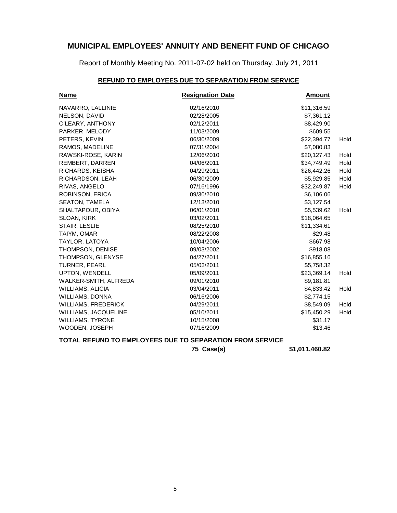Report of Monthly Meeting No. 2011-07-02 held on Thursday, July 21, 2011

### **REFUND TO EMPLOYEES DUE TO SEPARATION FROM SERVICE**

| <b>Name</b>                | <b>Resignation Date</b> | <b>Amount</b> |      |
|----------------------------|-------------------------|---------------|------|
| NAVARRO, LALLINIE          | 02/16/2010              | \$11,316.59   |      |
| NELSON, DAVID              | 02/28/2005              | \$7,361.12    |      |
| O'LEARY, ANTHONY           | 02/12/2011              | \$8,429.90    |      |
| PARKER, MELODY             | 11/03/2009              | \$609.55      |      |
| PETERS, KEVIN              | 06/30/2009              | \$22,394.77   | Hold |
| RAMOS, MADELINE            | 07/31/2004              | \$7,080.83    |      |
| RAWSKI-ROSE, KARIN         | 12/06/2010              | \$20,127.43   | Hold |
| REMBERT, DARREN            | 04/06/2011              | \$34,749.49   | Hold |
| RICHARDS, KEISHA           | 04/29/2011              | \$26,442.26   | Hold |
| RICHARDSON, LEAH           | 06/30/2009              | \$5,929.85    | Hold |
| RIVAS, ANGELO              | 07/16/1996              | \$32,249.87   | Hold |
| ROBINSON, ERICA            | 09/30/2010              | \$6,106.06    |      |
| <b>SEATON, TAMELA</b>      | 12/13/2010              | \$3,127.54    |      |
| SHALTAPOUR, OBIYA          | 06/01/2010              | \$5,539.62    | Hold |
| SLOAN, KIRK                | 03/02/2011              | \$18,064.65   |      |
| STAIR, LESLIE              | 08/25/2010              | \$11,334.61   |      |
| TAIYM, OMAR                | 08/22/2008              | \$29.48       |      |
| TAYLOR, LATOYA             | 10/04/2006              | \$667.98      |      |
| THOMPSON, DENISE           | 09/03/2002              | \$918.08      |      |
| THOMPSON, GLENYSE          | 04/27/2011              | \$16,855.16   |      |
| <b>TURNER, PEARL</b>       | 05/03/2011              | \$5,758.32    |      |
| UPTON, WENDELL             | 05/09/2011              | \$23,369.14   | Hold |
| WALKER-SMITH, ALFREDA      | 09/01/2010              | \$9,181.81    |      |
| <b>WILLIAMS, ALICIA</b>    | 03/04/2011              | \$4,833.42    | Hold |
| WILLIAMS, DONNA            | 06/16/2006              | \$2,774.15    |      |
| <b>WILLIAMS, FREDERICK</b> | 04/29/2011              | \$8,549.09    | Hold |
| WILLIAMS, JACQUELINE       | 05/10/2011              | \$15,450.29   | Hold |
| <b>WILLIAMS, TYRONE</b>    | 10/15/2008              | \$31.17       |      |
| WOODEN, JOSEPH             | 07/16/2009              | \$13.46       |      |

#### **TOTAL REFUND TO EMPLOYEES DUE TO SEPARATION FROM SERVICE**

**75 Case(s) \$1,011,460.82**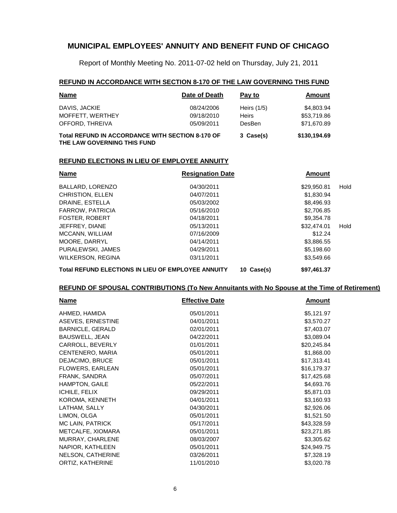Report of Monthly Meeting No. 2011-07-02 held on Thursday, July 21, 2011

#### **REFUND IN ACCORDANCE WITH SECTION 8-170 OF THE LAW GOVERNING THIS FUND**

| <b>Name</b>                                                                            | Date of Death | Pay to        | Amount      |
|----------------------------------------------------------------------------------------|---------------|---------------|-------------|
| DAVIS, JACKIE                                                                          | 08/24/2006    | Heirs $(1/5)$ | \$4,803.94  |
| MOFFETT, WERTHEY                                                                       | 09/18/2010    | <b>Heirs</b>  | \$53,719.86 |
| OFFORD, THREIVA                                                                        | 05/09/2011    | DesBen        | \$71,670.89 |
| <b>Total REFUND IN ACCORDANCE WITH SECTION 8-170 OF</b><br>THE LAW GOVERNING THIS FUND | 3 Case(s)     | \$130,194.69  |             |

#### **REFUND ELECTIONS IN LIEU OF EMPLOYEE ANNUITY**

| <b>Name</b>                                               | <b>Resignation Date</b> |            | Amount      |      |
|-----------------------------------------------------------|-------------------------|------------|-------------|------|
| BALLARD, LORENZO                                          | 04/30/2011              |            | \$29,950.81 | Hold |
| <b>CHRISTION, ELLEN</b>                                   | 04/07/2011              |            | \$1,830.94  |      |
| DRAINE, ESTELLA                                           | 05/03/2002              |            | \$8,496.93  |      |
| <b>FARROW, PATRICIA</b>                                   | 05/16/2010              |            | \$2,706.85  |      |
| <b>FOSTER, ROBERT</b>                                     | 04/18/2011              |            | \$9.354.78  |      |
| JEFFREY, DIANE                                            | 05/13/2011              |            | \$32,474.01 | Hold |
| MCCANN, WILLIAM                                           | 07/16/2009              |            | \$12.24     |      |
| MOORE, DARRYL                                             | 04/14/2011              |            | \$3,886.55  |      |
| PURALEWSKI, JAMES                                         | 04/29/2011              |            | \$5,198.60  |      |
| <b>WILKERSON, REGINA</b>                                  | 03/11/2011              |            | \$3,549.66  |      |
| <b>Total REFUND ELECTIONS IN LIEU OF EMPLOYEE ANNUITY</b> |                         | 10 Case(s) | \$97,461.37 |      |

#### **REFUND OF SPOUSAL CONTRIBUTIONS (To New Annuitants with No Spouse at the Time of Retirement)**

| <b>Name</b>              | <b>Effective Date</b> | Amount      |
|--------------------------|-----------------------|-------------|
| AHMED, HAMIDA            | 05/01/2011            | \$5,121.97  |
| ASEVES, ERNESTINE        | 04/01/2011            | \$3,570.27  |
| <b>BARNICLE, GERALD</b>  | 02/01/2011            | \$7,403.07  |
| <b>BAUSWELL, JEAN</b>    | 04/22/2011            | \$3,089.04  |
| CARROLL, BEVERLY         | 01/01/2011            | \$20,245.84 |
| CENTENERO, MARIA         | 05/01/2011            | \$1,868.00  |
| DEJACIMO, BRUCE          | 05/01/2011            | \$17,313.41 |
| FLOWERS, EARLEAN         | 05/01/2011            | \$16,179.37 |
| FRANK, SANDRA            | 05/07/2011            | \$17,425.68 |
| <b>HAMPTON, GAILE</b>    | 05/22/2011            | \$4,693.76  |
| ICHILE, FELIX            | 09/29/2011            | \$5,871.03  |
| KOROMA, KENNETH          | 04/01/2011            | \$3,160.93  |
| LATHAM, SALLY            | 04/30/2011            | \$2,926.06  |
| LIMON, OLGA              | 05/01/2011            | \$1,521.50  |
| MC LAIN, PATRICK         | 05/17/2011            | \$43,328.59 |
| METCALFE, XIOMARA        | 05/01/2011            | \$23,271.85 |
| MURRAY, CHARLENE         | 08/03/2007            | \$3,305.62  |
| NAPIOR, KATHLEEN         | 05/01/2011            | \$24,949.75 |
| <b>NELSON, CATHERINE</b> | 03/26/2011            | \$7,328.19  |
| ORTIZ, KATHERINE         | 11/01/2010            | \$3,020.78  |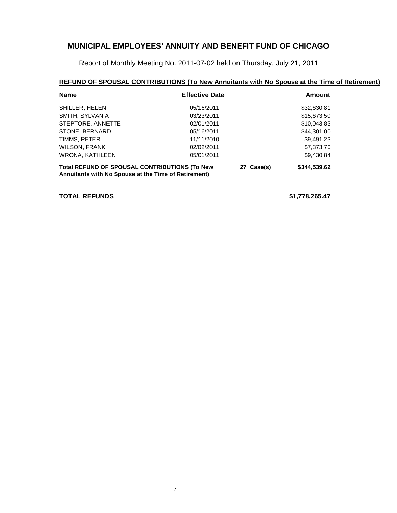Report of Monthly Meeting No. 2011-07-02 held on Thursday, July 21, 2011

### **REFUND OF SPOUSAL CONTRIBUTIONS (To New Annuitants with No Spouse at the Time of Retirement)**

| <b>Name</b>                                          | <b>Effective Date</b> |            | Amount       |
|------------------------------------------------------|-----------------------|------------|--------------|
| SHILLER, HELEN                                       | 05/16/2011            |            | \$32,630.81  |
| SMITH, SYLVANIA                                      | 03/23/2011            |            | \$15,673.50  |
| STEPTORE, ANNETTE                                    | 02/01/2011            |            | \$10,043.83  |
| STONE, BERNARD                                       | 05/16/2011            |            | \$44,301.00  |
| TIMMS, PETER                                         | 11/11/2010            |            | \$9,491.23   |
| <b>WILSON, FRANK</b>                                 | 02/02/2011            |            | \$7,373.70   |
| <b>WRONA, KATHLEEN</b>                               | 05/01/2011            |            | \$9,430.84   |
| <b>Total REFUND OF SPOUSAL CONTRIBUTIONS (To New</b> |                       | 27 Case(s) | \$344,539.62 |

**Annuitants with No Spouse at the Time of Retirement)**

**TOTAL REFUNDS \$1,778,265.47**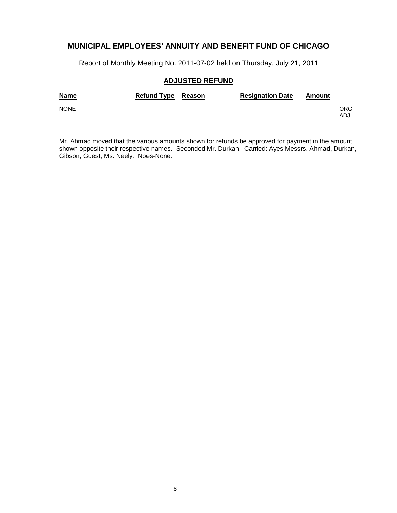Report of Monthly Meeting No. 2011-07-02 held on Thursday, July 21, 2011

### **ADJUSTED REFUND**

| <b>Name</b> | Refund Type Reason | <b>Resignation Date</b> | Amount |            |
|-------------|--------------------|-------------------------|--------|------------|
| <b>NONE</b> |                    |                         |        | ORG<br>ADJ |

Mr. Ahmad moved that the various amounts shown for refunds be approved for payment in the amount shown opposite their respective names. Seconded Mr. Durkan. Carried: Ayes Messrs. Ahmad, Durkan, Gibson, Guest, Ms. Neely. Noes-None.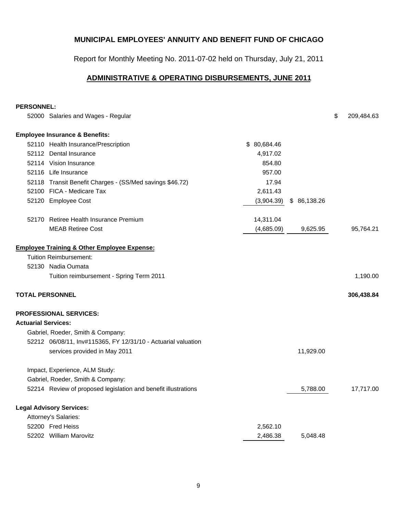Report for Monthly Meeting No. 2011-07-02 held on Thursday, July 21, 2011

# **ADMINISTRATIVE & OPERATING DISBURSEMENTS, JUNE 2011**

#### **PERSONNEL:**

|                            | 52000 Salaries and Wages - Regular                             |             |             | \$<br>209,484.63 |
|----------------------------|----------------------------------------------------------------|-------------|-------------|------------------|
|                            | <b>Employee Insurance &amp; Benefits:</b>                      |             |             |                  |
|                            | 52110 Health Insurance/Prescription                            | \$80,684.46 |             |                  |
|                            | 52112 Dental Insurance                                         | 4,917.02    |             |                  |
|                            | 52114 Vision Insurance                                         | 854.80      |             |                  |
|                            | 52116 Life Insurance                                           | 957.00      |             |                  |
|                            | 52118 Transit Benefit Charges - (SS/Med savings \$46.72)       | 17.94       |             |                  |
|                            | 52100 FICA - Medicare Tax                                      | 2,611.43    |             |                  |
|                            | 52120 Employee Cost                                            | (3,904.39)  | \$86,138.26 |                  |
|                            | 52170 Retiree Health Insurance Premium                         | 14,311.04   |             |                  |
|                            | <b>MEAB Retiree Cost</b>                                       | (4,685.09)  | 9,625.95    | 95,764.21        |
|                            | <b>Employee Training &amp; Other Employee Expense:</b>         |             |             |                  |
|                            | <b>Tuition Reimbursement:</b>                                  |             |             |                  |
|                            | 52130 Nadia Oumata                                             |             |             |                  |
|                            | Tuition reimbursement - Spring Term 2011                       |             |             | 1,190.00         |
|                            | <b>TOTAL PERSONNEL</b>                                         |             |             | 306,438.84       |
|                            | <b>PROFESSIONAL SERVICES:</b>                                  |             |             |                  |
| <b>Actuarial Services:</b> |                                                                |             |             |                  |
|                            | Gabriel, Roeder, Smith & Company:                              |             |             |                  |
|                            | 52212 06/08/11, Inv#115365, FY 12/31/10 - Actuarial valuation  |             |             |                  |
|                            | services provided in May 2011                                  |             | 11,929.00   |                  |
|                            | Impact, Experience, ALM Study:                                 |             |             |                  |
|                            | Gabriel, Roeder, Smith & Company:                              |             |             |                  |
|                            | 52214 Review of proposed legislation and benefit illustrations |             | 5,788.00    | 17,717.00        |
|                            | <b>Legal Advisory Services:</b>                                |             |             |                  |
|                            | Attorney's Salaries:                                           |             |             |                  |
|                            | 52200 Fred Heiss                                               | 2,562.10    |             |                  |
|                            | 52202 William Marovitz                                         | 2,486.38    | 5,048.48    |                  |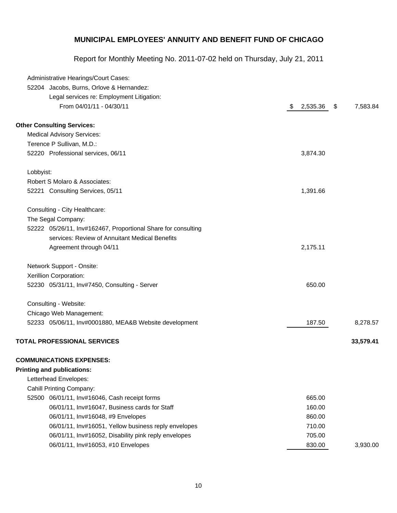| Administrative Hearings/Court Cases:                          |                |                |
|---------------------------------------------------------------|----------------|----------------|
| 52204 Jacobs, Burns, Orlove & Hernandez:                      |                |                |
| Legal services re: Employment Litigation:                     |                |                |
| From 04/01/11 - 04/30/11                                      | \$<br>2,535.36 | \$<br>7,583.84 |
| <b>Other Consulting Services:</b>                             |                |                |
| <b>Medical Advisory Services:</b>                             |                |                |
| Terence P Sullivan, M.D.:                                     |                |                |
| 52220 Professional services, 06/11                            | 3,874.30       |                |
| Lobbyist:                                                     |                |                |
| Robert S Molaro & Associates:                                 |                |                |
| 52221 Consulting Services, 05/11                              | 1,391.66       |                |
| Consulting - City Healthcare:                                 |                |                |
| The Segal Company:                                            |                |                |
| 52222 05/26/11, Inv#162467, Proportional Share for consulting |                |                |
| services: Review of Annuitant Medical Benefits                |                |                |
| Agreement through 04/11                                       | 2,175.11       |                |
| Network Support - Onsite:                                     |                |                |
| Xerillion Corporation:                                        |                |                |
| 52230 05/31/11, Inv#7450, Consulting - Server                 | 650.00         |                |
| Consulting - Website:                                         |                |                |
| Chicago Web Management:                                       |                |                |
| 52233 05/06/11, Inv#0001880, MEA&B Website development        | 187.50         | 8,278.57       |
| <b>TOTAL PROFESSIONAL SERVICES</b>                            |                | 33,579.41      |
| <b>COMMUNICATIONS EXPENSES:</b>                               |                |                |
| <b>Printing and publications:</b>                             |                |                |
| Letterhead Envelopes:                                         |                |                |
| <b>Cahill Printing Company:</b>                               |                |                |
| 06/01/11, Inv#16046, Cash receipt forms<br>52500              | 665.00         |                |
| 06/01/11, Inv#16047, Business cards for Staff                 | 160.00         |                |
| 06/01/11, Inv#16048, #9 Envelopes                             | 860.00         |                |
| 06/01/11, Inv#16051, Yellow business reply envelopes          | 710.00         |                |
| 06/01/11, Inv#16052, Disability pink reply envelopes          | 705.00         |                |
| 06/01/11, Inv#16053, #10 Envelopes                            | 830.00         | 3,930.00       |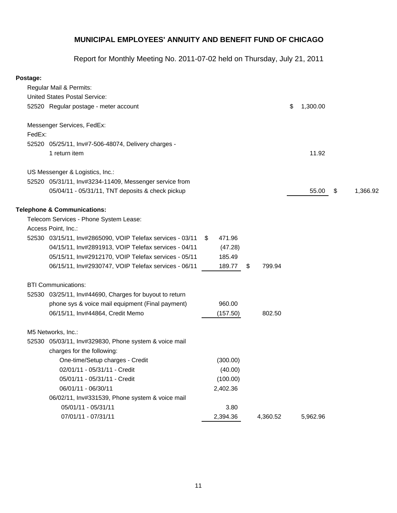Report for Monthly Meeting No. 2011-07-02 held on Thursday, July 21, 2011

### **Postage:**

|        | Regular Mail & Permits:                                    |    |          |              |                |                |
|--------|------------------------------------------------------------|----|----------|--------------|----------------|----------------|
|        | <b>United States Postal Service:</b>                       |    |          |              |                |                |
|        | 52520 Regular postage - meter account                      |    |          |              | \$<br>1,300.00 |                |
|        | Messenger Services, FedEx:                                 |    |          |              |                |                |
| FedEx: |                                                            |    |          |              |                |                |
|        | 52520 05/25/11, Inv#7-506-48074, Delivery charges -        |    |          |              |                |                |
|        | 1 return item                                              |    |          |              | 11.92          |                |
|        | US Messenger & Logistics, Inc.:                            |    |          |              |                |                |
|        | 52520 05/31/11, Inv#3234-11409, Messenger service from     |    |          |              |                |                |
|        | 05/04/11 - 05/31/11, TNT deposits & check pickup           |    |          |              | 55.00          | \$<br>1,366.92 |
|        | <b>Telephone &amp; Communications:</b>                     |    |          |              |                |                |
|        | Telecom Services - Phone System Lease:                     |    |          |              |                |                |
|        | Access Point, Inc.:                                        |    |          |              |                |                |
|        | 52530 03/15/11, Inv#2865090, VOIP Telefax services - 03/11 | S. | 471.96   |              |                |                |
|        | 04/15/11, Inv#2891913, VOIP Telefax services - 04/11       |    | (47.28)  |              |                |                |
|        | 05/15/11, Inv#2912170, VOIP Telefax services - 05/11       |    | 185.49   |              |                |                |
|        | 06/15/11, Inv#2930747, VOIP Telefax services - 06/11       |    | 189.77   | \$<br>799.94 |                |                |
|        | <b>BTI Communications:</b>                                 |    |          |              |                |                |
|        | 52530 03/25/11, Inv#44690, Charges for buyout to return    |    |          |              |                |                |
|        | phone sys & voice mail equipment (Final payment)           |    | 960.00   |              |                |                |
|        | 06/15/11, Inv#44864, Credit Memo                           |    | (157.50) | 802.50       |                |                |
|        | M5 Networks, Inc.:                                         |    |          |              |                |                |
|        | 52530 05/03/11, Inv#329830, Phone system & voice mail      |    |          |              |                |                |
|        | charges for the following:                                 |    |          |              |                |                |
|        | One-time/Setup charges - Credit                            |    | (300.00) |              |                |                |
|        | 02/01/11 - 05/31/11 - Credit                               |    | (40.00)  |              |                |                |
|        | 05/01/11 - 05/31/11 - Credit                               |    | (100.00) |              |                |                |
|        | 06/01/11 - 06/30/11                                        |    | 2,402.36 |              |                |                |
|        | 06/02/11, Inv#331539, Phone system & voice mail            |    |          |              |                |                |
|        | 05/01/11 - 05/31/11                                        |    | 3.80     |              |                |                |
|        | 07/01/11 - 07/31/11                                        |    | 2,394.36 | 4,360.52     | 5,962.96       |                |
|        |                                                            |    |          |              |                |                |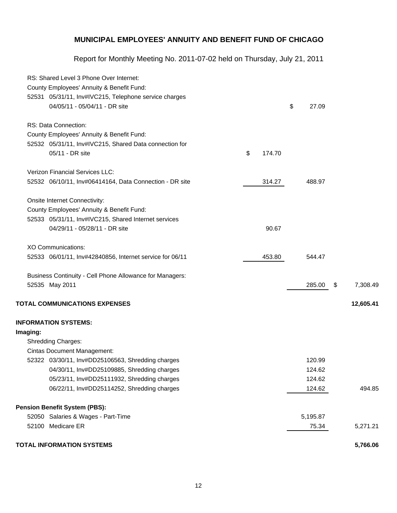|          | RS: Shared Level 3 Phone Over Internet:                  |              |             |                |
|----------|----------------------------------------------------------|--------------|-------------|----------------|
|          | County Employees' Annuity & Benefit Fund:                |              |             |                |
|          | 52531 05/31/11, Inv#IVC215, Telephone service charges    |              |             |                |
|          | 04/05/11 - 05/04/11 - DR site                            |              | \$<br>27.09 |                |
|          | RS: Data Connection:                                     |              |             |                |
|          | County Employees' Annuity & Benefit Fund:                |              |             |                |
|          | 52532 05/31/11, Inv#IVC215, Shared Data connection for   |              |             |                |
|          | 05/11 - DR site                                          | \$<br>174.70 |             |                |
|          | <b>Verizon Financial Services LLC:</b>                   |              |             |                |
|          | 52532 06/10/11, Inv#06414164, Data Connection - DR site  | 314.27       | 488.97      |                |
|          | Onsite Internet Connectivity:                            |              |             |                |
|          | County Employees' Annuity & Benefit Fund:                |              |             |                |
|          | 52533 05/31/11, Inv#IVC215, Shared Internet services     |              |             |                |
|          | 04/29/11 - 05/28/11 - DR site                            | 90.67        |             |                |
|          | <b>XO Communications:</b>                                |              |             |                |
|          | 52533 06/01/11, Inv#42840856, Internet service for 06/11 | 453.80       | 544.47      |                |
|          | Business Continuity - Cell Phone Allowance for Managers: |              |             |                |
|          | 52535 May 2011                                           |              | 285.00      | \$<br>7,308.49 |
|          | <b>TOTAL COMMUNICATIONS EXPENSES</b>                     |              |             | 12,605.41      |
|          | <b>INFORMATION SYSTEMS:</b>                              |              |             |                |
| Imaging: |                                                          |              |             |                |
|          | <b>Shredding Charges:</b>                                |              |             |                |
|          | <b>Cintas Document Management:</b>                       |              |             |                |
|          | 52322 03/30/11, Inv#DD25106563, Shredding charges        |              | 120.99      |                |
|          | 04/30/11, Inv#DD25109885, Shredding charges              |              | 124.62      |                |
|          | 05/23/11, Inv#DD25111932, Shredding charges              |              | 124.62      |                |
|          | 06/22/11, Inv#DD25114252, Shredding charges              |              | 124.62      | 494.85         |
|          | <b>Pension Benefit System (PBS):</b>                     |              |             |                |
|          | 52050 Salaries & Wages - Part-Time                       |              | 5,195.87    |                |
|          | 52100 Medicare ER                                        |              | 75.34       | 5,271.21       |
|          | <b>TOTAL INFORMATION SYSTEMS</b>                         |              |             | 5,766.06       |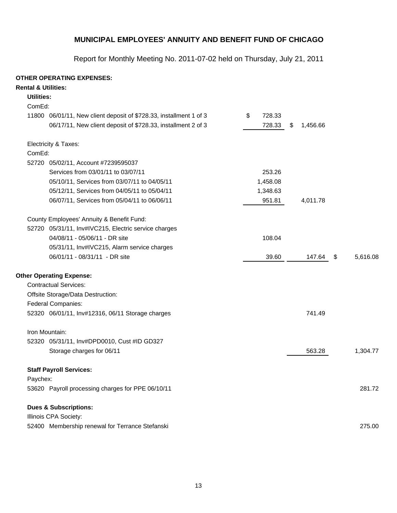Report for Monthly Meeting No. 2011-07-02 held on Thursday, July 21, 2011

### **OTHER OPERATING EXPENSES:**

| <b>Rental &amp; Utilities:</b> |                                                                    |              |                |                |
|--------------------------------|--------------------------------------------------------------------|--------------|----------------|----------------|
| <b>Utilities:</b>              |                                                                    |              |                |                |
| ComEd:                         |                                                                    |              |                |                |
|                                | 11800 06/01/11, New client deposit of \$728.33, installment 1 of 3 | 728.33<br>\$ |                |                |
|                                | 06/17/11, New client deposit of \$728.33, installment 2 of 3       | 728.33       | \$<br>1,456.66 |                |
|                                | Electricity & Taxes:                                               |              |                |                |
| ComEd:                         |                                                                    |              |                |                |
|                                | 52720 05/02/11, Account #7239595037                                |              |                |                |
|                                | Services from 03/01/11 to 03/07/11                                 | 253.26       |                |                |
|                                | 05/10/11, Services from 03/07/11 to 04/05/11                       | 1,458.08     |                |                |
|                                | 05/12/11, Services from 04/05/11 to 05/04/11                       | 1,348.63     |                |                |
|                                | 06/07/11, Services from 05/04/11 to 06/06/11                       | 951.81       | 4,011.78       |                |
|                                | County Employees' Annuity & Benefit Fund:                          |              |                |                |
|                                | 52720 05/31/11, Inv#IVC215, Electric service charges               |              |                |                |
|                                | 04/08/11 - 05/06/11 - DR site                                      | 108.04       |                |                |
|                                | 05/31/11, Inv#IVC215, Alarm service charges                        |              |                |                |
|                                | 06/01/11 - 08/31/11 - DR site                                      | 39.60        | 147.64         | 5,616.08<br>\$ |
|                                | <b>Other Operating Expense:</b>                                    |              |                |                |
|                                | <b>Contractual Services:</b>                                       |              |                |                |
|                                | Offsite Storage/Data Destruction:                                  |              |                |                |
|                                | <b>Federal Companies:</b>                                          |              |                |                |
|                                | 52320 06/01/11, Inv#12316, 06/11 Storage charges                   |              | 741.49         |                |
|                                | Iron Mountain:                                                     |              |                |                |
|                                | 52320 05/31/11, Inv#DPD0010, Cust #ID GD327                        |              |                |                |
|                                | Storage charges for 06/11                                          |              | 563.28         | 1,304.77       |
|                                | <b>Staff Payroll Services:</b>                                     |              |                |                |
| Paychex:                       |                                                                    |              |                |                |
|                                | 53620 Payroll processing charges for PPE 06/10/11                  |              |                | 281.72         |
|                                | <b>Dues &amp; Subscriptions:</b>                                   |              |                |                |
|                                | Illinois CPA Society:                                              |              |                |                |
|                                | 52400 Membership renewal for Terrance Stefanski                    |              |                | 275.00         |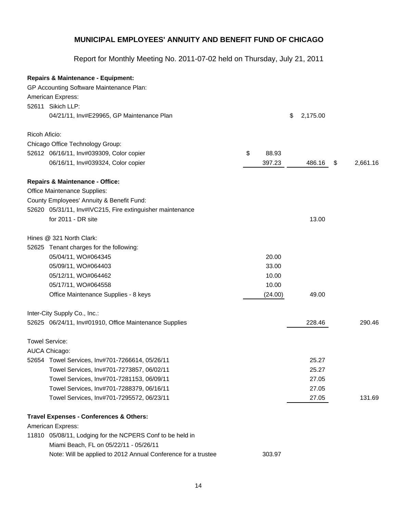|               | <b>Repairs &amp; Maintenance - Equipment:</b>                 |             |                |                |
|---------------|---------------------------------------------------------------|-------------|----------------|----------------|
|               | GP Accounting Software Maintenance Plan:                      |             |                |                |
|               | American Express:                                             |             |                |                |
|               | 52611 Sikich LLP:                                             |             |                |                |
|               | 04/21/11, Inv#E29965, GP Maintenance Plan                     |             | \$<br>2,175.00 |                |
| Ricoh Aficio: |                                                               |             |                |                |
|               | Chicago Office Technology Group:                              |             |                |                |
|               | 52612 06/16/11, Inv#039309, Color copier                      | \$<br>88.93 |                |                |
|               | 06/16/11, Inv#039324, Color copier                            | 397.23      | 486.16         | \$<br>2,661.16 |
|               | <b>Repairs &amp; Maintenance - Office:</b>                    |             |                |                |
|               | Office Maintenance Supplies:                                  |             |                |                |
|               | County Employees' Annuity & Benefit Fund:                     |             |                |                |
|               | 52620 05/31/11, Inv#IVC215, Fire extinguisher maintenance     |             |                |                |
|               | for 2011 - DR site                                            |             | 13.00          |                |
|               | Hines @ 321 North Clark:                                      |             |                |                |
|               | 52625 Tenant charges for the following:                       |             |                |                |
|               | 05/04/11, WO#064345                                           | 20.00       |                |                |
|               | 05/09/11, WO#064403                                           | 33.00       |                |                |
|               | 05/12/11, WO#064462                                           | 10.00       |                |                |
|               | 05/17/11, WO#064558                                           | 10.00       |                |                |
|               | Office Maintenance Supplies - 8 keys                          | (24.00)     | 49.00          |                |
|               | Inter-City Supply Co., Inc.:                                  |             |                |                |
|               | 52625 06/24/11, Inv#01910, Office Maintenance Supplies        |             | 228.46         | 290.46         |
|               | <b>Towel Service:</b>                                         |             |                |                |
|               | AUCA Chicago:                                                 |             |                |                |
|               | 52654 Towel Services, Inv#701-7266614, 05/26/11               |             | 25.27          |                |
|               | Towel Services, Inv#701-7273857, 06/02/11                     |             | 25.27          |                |
|               | Towel Services, Inv#701-7281153, 06/09/11                     |             | 27.05          |                |
|               | Towel Services, Inv#701-7288379, 06/16/11                     |             | 27.05          |                |
|               | Towel Services, Inv#701-7295572, 06/23/11                     |             | 27.05          | 131.69         |
|               | Travel Expenses - Conferences & Others:                       |             |                |                |
|               | American Express:                                             |             |                |                |
|               | 11810 05/08/11, Lodging for the NCPERS Conf to be held in     |             |                |                |
|               | Miami Beach, FL on 05/22/11 - 05/26/11                        |             |                |                |
|               | Note: Will be applied to 2012 Annual Conference for a trustee | 303.97      |                |                |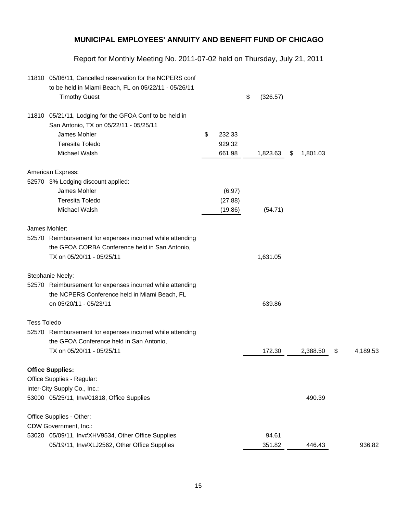|                    | 11810 05/06/11, Cancelled reservation for the NCPERS conf<br>to be held in Miami Beach, FL on 05/22/11 - 05/26/11<br><b>Timothy Guest</b> |              | \$<br>(326.57) |                |                |
|--------------------|-------------------------------------------------------------------------------------------------------------------------------------------|--------------|----------------|----------------|----------------|
|                    | 11810 05/21/11, Lodging for the GFOA Conf to be held in                                                                                   |              |                |                |                |
|                    | San Antonio, TX on 05/22/11 - 05/25/11                                                                                                    |              |                |                |                |
|                    | James Mohler                                                                                                                              | \$<br>232.33 |                |                |                |
|                    | <b>Teresita Toledo</b>                                                                                                                    | 929.32       |                |                |                |
|                    | Michael Walsh                                                                                                                             | 661.98       | 1,823.63       | \$<br>1,801.03 |                |
|                    | American Express:                                                                                                                         |              |                |                |                |
|                    | 52570 3% Lodging discount applied:                                                                                                        |              |                |                |                |
|                    | James Mohler                                                                                                                              | (6.97)       |                |                |                |
|                    | <b>Teresita Toledo</b>                                                                                                                    | (27.88)      |                |                |                |
|                    | Michael Walsh                                                                                                                             | (19.86)      | (54.71)        |                |                |
|                    | James Mohler:                                                                                                                             |              |                |                |                |
|                    | 52570 Reimbursement for expenses incurred while attending                                                                                 |              |                |                |                |
|                    | the GFOA CORBA Conference held in San Antonio,                                                                                            |              |                |                |                |
|                    | TX on 05/20/11 - 05/25/11                                                                                                                 |              | 1,631.05       |                |                |
|                    | Stephanie Neely:                                                                                                                          |              |                |                |                |
|                    | 52570 Reimbursement for expenses incurred while attending                                                                                 |              |                |                |                |
|                    | the NCPERS Conference held in Miami Beach, FL                                                                                             |              |                |                |                |
|                    | on 05/20/11 - 05/23/11                                                                                                                    |              | 639.86         |                |                |
| <b>Tess Toledo</b> |                                                                                                                                           |              |                |                |                |
|                    | 52570 Reimbursement for expenses incurred while attending                                                                                 |              |                |                |                |
|                    | the GFOA Conference held in San Antonio,                                                                                                  |              |                |                |                |
|                    | TX on 05/20/11 - 05/25/11                                                                                                                 |              | 172.30         | 2,388.50       | \$<br>4,189.53 |
|                    | <b>Office Supplies:</b>                                                                                                                   |              |                |                |                |
|                    | Office Supplies - Regular:                                                                                                                |              |                |                |                |
|                    | Inter-City Supply Co., Inc.:                                                                                                              |              |                |                |                |
|                    | 53000 05/25/11, Inv#01818, Office Supplies                                                                                                |              |                | 490.39         |                |
|                    | Office Supplies - Other:                                                                                                                  |              |                |                |                |
|                    | CDW Government, Inc.:                                                                                                                     |              |                |                |                |
|                    | 53020 05/09/11, Inv#XHV9534, Other Office Supplies                                                                                        |              | 94.61          |                |                |
|                    | 05/19/11, Inv#XLJ2562, Other Office Supplies                                                                                              |              | 351.82         | 446.43         | 936.82         |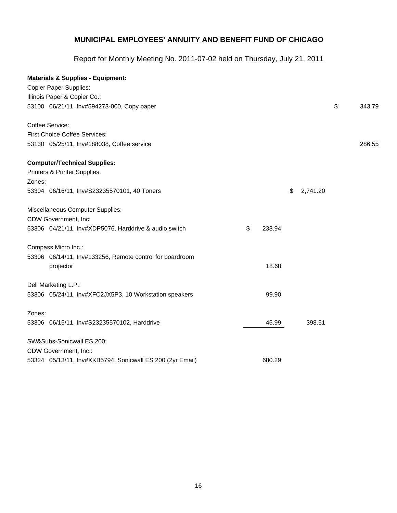|        | <b>Materials &amp; Supplies - Equipment:</b>              |    |        |                |              |  |
|--------|-----------------------------------------------------------|----|--------|----------------|--------------|--|
|        | <b>Copier Paper Supplies:</b>                             |    |        |                |              |  |
|        | Illinois Paper & Copier Co.:                              |    |        |                |              |  |
|        | 53100 06/21/11, Inv#594273-000, Copy paper                |    |        |                | \$<br>343.79 |  |
|        | Coffee Service:                                           |    |        |                |              |  |
|        | First Choice Coffee Services:                             |    |        |                |              |  |
|        | 53130 05/25/11, Inv#188038, Coffee service                |    |        |                | 286.55       |  |
|        | <b>Computer/Technical Supplies:</b>                       |    |        |                |              |  |
|        | Printers & Printer Supplies:                              |    |        |                |              |  |
| Zones: |                                                           |    |        |                |              |  |
|        | 53304 06/16/11, Inv#S23235570101, 40 Toners               |    |        | \$<br>2,741.20 |              |  |
|        | Miscellaneous Computer Supplies:                          |    |        |                |              |  |
|        | CDW Government, Inc:                                      |    |        |                |              |  |
|        | 53306 04/21/11, Inv#XDP5076, Harddrive & audio switch     | \$ | 233.94 |                |              |  |
|        | Compass Micro Inc.:                                       |    |        |                |              |  |
|        | 53306 06/14/11, Inv#133256, Remote control for boardroom  |    |        |                |              |  |
|        | projector                                                 |    | 18.68  |                |              |  |
|        | Dell Marketing L.P.:                                      |    |        |                |              |  |
|        | 53306 05/24/11, Inv#XFC2JX5P3, 10 Workstation speakers    |    | 99.90  |                |              |  |
| Zones: |                                                           |    |        |                |              |  |
|        | 53306 06/15/11, Inv#S23235570102, Harddrive               |    | 45.99  | 398.51         |              |  |
|        | SW&Subs-Sonicwall ES 200:                                 |    |        |                |              |  |
|        | CDW Government, Inc.:                                     |    |        |                |              |  |
|        | 53324 05/13/11, Inv#XKB5794, Sonicwall ES 200 (2yr Email) |    | 680.29 |                |              |  |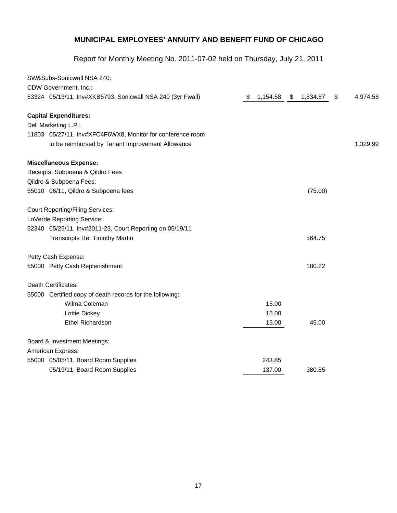| SW&Subs-Sonicwall NSA 240:                                 |                |                |                |
|------------------------------------------------------------|----------------|----------------|----------------|
| CDW Government, Inc.:                                      |                |                |                |
| 53324 05/13/11, Inv#XKB5793, Sonicwall NSA 240 (3yr Fwall) | \$<br>1,154.58 | \$<br>1,834.87 | \$<br>4,974.58 |
| <b>Capital Expenditures:</b>                               |                |                |                |
| Dell Marketing L.P.:                                       |                |                |                |
| 11803 05/27/11, Inv#XFC4F6WX8, Monitor for conference room |                |                |                |
| to be reimbursed by Tenant Improvement Allowance           |                |                | 1,329.99       |
| <b>Miscellaneous Expense:</b>                              |                |                |                |
| Receipts: Subpoena & Qildro Fees                           |                |                |                |
| Qildro & Subpoena Fees:                                    |                |                |                |
| 55010 06/11, Qildro & Subpoena fees                        |                | (75.00)        |                |
| <b>Court Reporting/Filing Services:</b>                    |                |                |                |
| LoVerde Reporting Service:                                 |                |                |                |
| 52340 05/25/11, Inv#2011-23, Court Reporting on 05/19/11   |                |                |                |
| Transcripts Re: Timothy Martin                             |                | 564.75         |                |
| Petty Cash Expense:                                        |                |                |                |
| 55000 Petty Cash Replenishment:                            |                | 180.22         |                |
| Death Certificates:                                        |                |                |                |
| 55000 Certified copy of death records for the following:   |                |                |                |
| Wilma Coleman                                              | 15.00          |                |                |
| Lottie Dickey                                              | 15.00          |                |                |
| <b>Ethel Richardson</b>                                    | 15.00          | 45.00          |                |
| Board & Investment Meetings:                               |                |                |                |
| American Express:                                          |                |                |                |
| 55000 05/05/11, Board Room Supplies                        | 243.85         |                |                |
| 05/19/11, Board Room Supplies                              | 137.00         | 380.85         |                |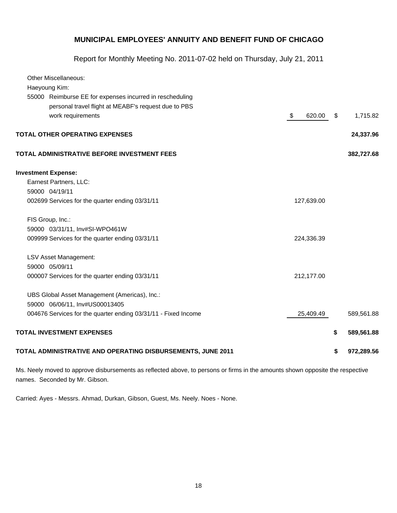Report for Monthly Meeting No. 2011-07-02 held on Thursday, July 21, 2011

| <b>Other Miscellaneous:</b><br>Haeyoung Kim:                   |              |                  |
|----------------------------------------------------------------|--------------|------------------|
| 55000 Reimburse EE for expenses incurred in rescheduling       |              |                  |
| personal travel flight at MEABF's request due to PBS           |              |                  |
| work requirements                                              | \$<br>620.00 | \$<br>1,715.82   |
|                                                                |              |                  |
| <b>TOTAL OTHER OPERATING EXPENSES</b>                          |              | 24,337.96        |
| TOTAL ADMINISTRATIVE BEFORE INVESTMENT FEES                    |              | 382,727.68       |
| <b>Investment Expense:</b>                                     |              |                  |
| Earnest Partners, LLC:                                         |              |                  |
| 59000 04/19/11                                                 |              |                  |
| 002699 Services for the quarter ending 03/31/11                | 127,639.00   |                  |
| FIS Group, Inc.:                                               |              |                  |
| 59000 03/31/11, Inv#SI-WPO461W                                 |              |                  |
| 009999 Services for the quarter ending 03/31/11                | 224,336.39   |                  |
| LSV Asset Management:                                          |              |                  |
| 59000 05/09/11                                                 |              |                  |
| 000007 Services for the quarter ending 03/31/11                | 212,177.00   |                  |
| UBS Global Asset Management (Americas), Inc.:                  |              |                  |
| 59000 06/06/11, Inv#US00013405                                 |              |                  |
| 004676 Services for the quarter ending 03/31/11 - Fixed Income | 25,409.49    | 589,561.88       |
| <b>TOTAL INVESTMENT EXPENSES</b>                               |              | \$<br>589,561.88 |
| TOTAL ADMINISTRATIVE AND OPERATING DISBURSEMENTS, JUNE 2011    |              | \$<br>972,289.56 |

Ms. Neely moved to approve disbursements as reflected above, to persons or firms in the amounts shown opposite the respective names. Seconded by Mr. Gibson.

Carried: Ayes - Messrs. Ahmad, Durkan, Gibson, Guest, Ms. Neely. Noes - None.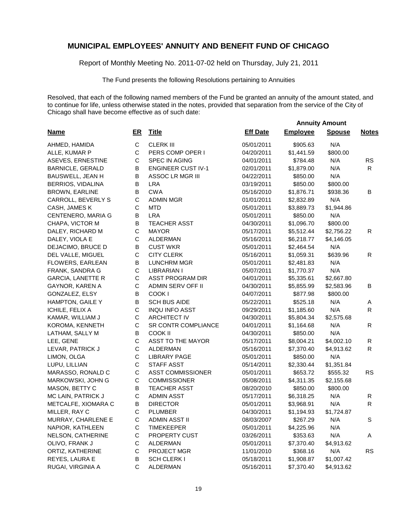Report of Monthly Meeting No. 2011-07-02 held on Thursday, July 21, 2011

The Fund presents the following Resolutions pertaining to Annuities

Resolved, that each of the following named members of the Fund be granted an annuity of the amount stated, and to continue for life, unless otherwise stated in the notes, provided that separation from the service of the City of Chicago shall have become effective as of such date:

 **Annuity Amount**

| <b>Name</b>              | ER           | <b>Title</b>              | <b>Eff Date</b> | <b>Employee</b> | <b>Spouse</b> | <b>Notes</b> |
|--------------------------|--------------|---------------------------|-----------------|-----------------|---------------|--------------|
| AHMED, HAMIDA            | $\mathsf{C}$ | <b>CLERK III</b>          | 05/01/2011      | \$905.63        | N/A           |              |
| ALLE, KUMAR P            | $\mathsf C$  | PERS COMP OPER I          | 04/20/2011      | \$1,441.59      | \$800.00      |              |
| ASEVES, ERNESTINE        | С            | SPEC IN AGING             | 04/01/2011      | \$784.48        | N/A           | <b>RS</b>    |
| <b>BARNICLE, GERALD</b>  | B            | <b>ENGINEER CUST IV-1</b> | 02/01/2011      | \$1,879.00      | N/A           | R            |
| BAUSWELL, JEAN H         | B            | ASSOC LR MGR III          | 04/22/2011      | \$850.00        | N/A           |              |
| BERRIOS, VIDALINA        | B            | <b>LRA</b>                | 03/19/2011      | \$850.00        | \$800.00      |              |
| BROWN, EARLINE           | B            | <b>CWA</b>                | 05/16/2010      | \$1,876.71      | \$938.36      | B            |
| CARROLL, BEVERLY S       | C            | <b>ADMIN MGR</b>          | 01/01/2011      | \$2,832.89      | N/A           |              |
| CASH, JAMES K            | C            | <b>MTD</b>                | 05/01/2011      | \$3,889.73      | \$1,944.86    |              |
| CENTENERO, MARIA G       | B            | <b>LRA</b>                | 05/01/2011      | \$850.00        | N/A           |              |
| CHAPA, VICTOR M          | B            | <b>TEACHER ASST</b>       | 04/30/2011      | \$1,096.70      | \$800.00      |              |
| DALEY, RICHARD M         | $\mathsf{C}$ | <b>MAYOR</b>              | 05/17/2011      | \$5,512.44      | \$2,756.22    | $\mathsf{R}$ |
| DALEY, VIOLA E           | C            | ALDERMAN                  | 05/16/2011      | \$6,218.77      | \$4,146.05    |              |
| DEJACIMO, BRUCE D        | В            | <b>CUST WKR</b>           | 05/01/2011      | \$2,464.54      | N/A           |              |
| DEL VALLE, MIGUEL        | $\mathsf{C}$ | <b>CITY CLERK</b>         | 05/16/2011      | \$1,059.31      | \$639.96      | R            |
| FLOWERS, EARLEAN         | B            | <b>LUNCHRM MGR</b>        | 05/01/2011      | \$2,481.83      | N/A           |              |
| FRANK, SANDRA G          | $\mathsf{C}$ | <b>LIBRARIAN I</b>        | 05/07/2011      | \$1,770.37      | N/A           |              |
| <b>GARCIA, LANETTE R</b> | $\mathsf C$  | <b>ASST PROGRAM DIR</b>   | 04/01/2011      | \$5,335.61      | \$2,667.80    |              |
| GAYNOR, KAREN A          | $\mathsf C$  | ADMIN SERV OFF II         | 04/30/2011      | \$5,855.99      | \$2,583.96    | в            |
| GONZALEZ, ELSY           | В            | COOK I                    | 04/07/2011      | \$877.98        | \$800.00      |              |
| <b>HAMPTON, GAILE Y</b>  | B            | <b>SCH BUS AIDE</b>       | 05/22/2011      | \$525.18        | N/A           | A            |
| ICHILE, FELIX A          | $\mathsf{C}$ | <b>INQU INFO ASST</b>     | 09/29/2011      | \$1,185.60      | N/A           | R            |
| KAMAR, WILLIAM J         | C            | <b>ARCHITECT IV</b>       | 04/30/2011      | \$5,804.34      | \$2,575.68    |              |
| KOROMA, KENNETH          | C            | SR CONTR COMPLIANCE       | 04/01/2011      | \$1,164.68      | N/A           | $\mathsf{R}$ |
| LATHAM, SALLY M          | B            | COOK II                   | 04/30/2011      | \$850.00        | N/A           |              |
| LEE, GENE                | C            | ASST TO THE MAYOR         | 05/17/2011      | \$8,004.21      | \$4,002.10    | R            |
| LEVAR, PATRICK J         | C            | ALDERMAN                  | 05/16/2011      | \$7,370.40      | \$4,913.62    | R            |
| LIMON, OLGA              | $\mathsf{C}$ | <b>LIBRARY PAGE</b>       | 05/01/2011      | \$850.00        | N/A           |              |
| LUPU, LILLIAN            | $\mathsf{C}$ | <b>STAFF ASST</b>         | 05/14/2011      | \$2,330.44      | \$1,351.84    |              |
| MARASSO, RONALD C        | $\mathsf{C}$ | <b>ASST COMMISSIONER</b>  | 05/01/2011      | \$653.72        | \$555.32      | <b>RS</b>    |
| MARKOWSKI, JOHN G        | $\mathsf{C}$ | <b>COMMISSIONER</b>       | 05/08/2011      | \$4,311.35      | \$2,155.68    |              |
| MASON, BETTY C           | B            | <b>TEACHER ASST</b>       | 08/20/2010      | \$850.00        | \$800.00      |              |
| MC LAIN, PATRICK J       | $\mathsf{C}$ | <b>ADMIN ASST</b>         | 05/17/2011      | \$6,318.25      | N/A           | R            |
| METCALFE, XIOMARA C      | В            | <b>DIRECTOR</b>           | 05/01/2011      | \$3,968.91      | N/A           | $\mathsf{R}$ |
| MILLER, RAY C            | C            | <b>PLUMBER</b>            | 04/30/2011      | \$1,194.93      | \$1,724.87    |              |
| MURRAY, CHARLENE E       | C            | ADMIN ASST II             | 08/03/2007      | \$267.29        | N/A           | S            |
| NAPIOR, KATHLEEN         | $\mathsf C$  | TIMEKEEPER                | 05/01/2011      | \$4,225.96      | N/A           |              |
| NELSON, CATHERINE        | $\mathsf C$  | PROPERTY CUST             | 03/26/2011      | \$353.63        | N/A           | Α            |
| OLIVO, FRANK J           | $\mathsf C$  | <b>ALDERMAN</b>           | 05/01/2011      | \$7,370.40      | \$4,913.62    |              |
| ORTIZ, KATHERINE         | $\mathsf C$  | PROJECT MGR               | 11/01/2010      | \$368.16        | N/A           | <b>RS</b>    |
| REYES, LAURA E           | B            | SCH CLERK I               | 05/18/2011      | \$1,908.87      | \$1,007.42    |              |
| RUGAI, VIRGINIA A        | $\mathbf C$  | ALDERMAN                  | 05/16/2011      | \$7,370.40      | \$4,913.62    |              |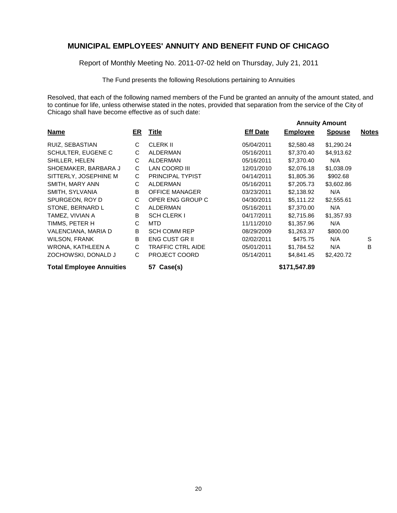Report of Monthly Meeting No. 2011-07-02 held on Thursday, July 21, 2011

The Fund presents the following Resolutions pertaining to Annuities

Resolved, that each of the following named members of the Fund be granted an annuity of the amount stated, and to continue for life, unless otherwise stated in the notes, provided that separation from the service of the City of Chicago shall have become effective as of such date:

|                                 |    |                          |                 | <b>Annuity Amount</b> |               |              |  |  |
|---------------------------------|----|--------------------------|-----------------|-----------------------|---------------|--------------|--|--|
| <b>Name</b>                     | ER | <b>Title</b>             | <b>Eff Date</b> | <b>Employee</b>       | <b>Spouse</b> | <b>Notes</b> |  |  |
| RUIZ, SEBASTIAN                 | C  | <b>CLERK II</b>          | 05/04/2011      | \$2,580.48            | \$1,290.24    |              |  |  |
| SCHULTER, EUGENE C              | С  | ALDERMAN                 | 05/16/2011      | \$7,370.40            | \$4,913.62    |              |  |  |
| SHILLER, HELEN                  | C  | ALDERMAN                 | 05/16/2011      | \$7,370.40            | N/A           |              |  |  |
| SHOEMAKER, BARBARA J            | С  | LAN COORD III            | 12/01/2010      | \$2,076.18            | \$1,038.09    |              |  |  |
| SITTERLY, JOSEPHINE M           | C  | <b>PRINCIPAL TYPIST</b>  | 04/14/2011      | \$1,805.36            | \$902.68      |              |  |  |
| SMITH, MARY ANN                 | C  | ALDERMAN                 | 05/16/2011      | \$7,205.73            | \$3,602.86    |              |  |  |
| SMITH, SYLVANIA                 | B  | <b>OFFICE MANAGER</b>    | 03/23/2011      | \$2,138.92            | N/A           |              |  |  |
| SPURGEON, ROY D                 | C  | OPER ENG GROUP C         | 04/30/2011      | \$5,111.22            | \$2,555.61    |              |  |  |
| STONE, BERNARD L                | C  | <b>ALDERMAN</b>          | 05/16/2011      | \$7,370.00            | N/A           |              |  |  |
| TAMEZ. VIVIAN A                 | B  | <b>SCH CLERK I</b>       | 04/17/2011      | \$2,715.86            | \$1,357.93    |              |  |  |
| TIMMS, PETER H                  | C  | MTD.                     | 11/11/2010      | \$1,357.96            | N/A           |              |  |  |
| VALENCIANA, MARIA D             | B  | <b>SCH COMM REP</b>      | 08/29/2009      | \$1,263.37            | \$800.00      |              |  |  |
| <b>WILSON, FRANK</b>            | B  | <b>ENG CUST GR II</b>    | 02/02/2011      | \$475.75              | N/A           | S            |  |  |
| WRONA, KATHLEEN A               | C  | <b>TRAFFIC CTRL AIDE</b> | 05/01/2011      | \$1,784.52            | N/A           | B            |  |  |
| ZOCHOWSKI, DONALD J             | C  | <b>PROJECT COORD</b>     | 05/14/2011      | \$4,841.45            | \$2,420.72    |              |  |  |
| <b>Total Employee Annuities</b> |    | 57 Case(s)               |                 | \$171,547.89          |               |              |  |  |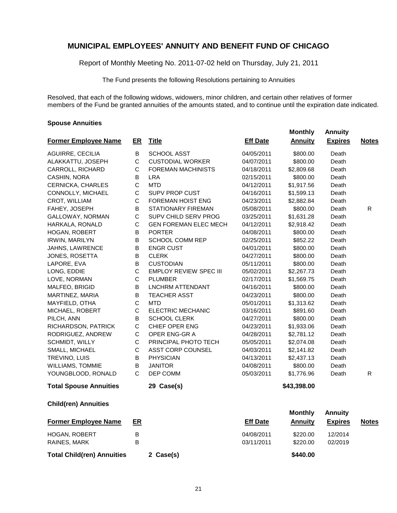Report of Monthly Meeting No. 2011-07-02 held on Thursday, July 21, 2011

The Fund presents the following Resolutions pertaining to Annuities

Resolved, that each of the following widows, widowers, minor children, and certain other relatives of former members of the Fund be granted annuities of the amounts stated, and to continue until the expiration date indicated.

#### **Spouse Annuities**

|                               |             |                               |                 | <b>Monthly</b> | <b>Annuity</b> |              |
|-------------------------------|-------------|-------------------------------|-----------------|----------------|----------------|--------------|
| <b>Former Employee Name</b>   | ER          | <b>Title</b>                  | <b>Eff Date</b> | <b>Annuity</b> | <b>Expires</b> | <b>Notes</b> |
| AGUIRRE, CECILIA              | B           | <b>SCHOOL ASST</b>            | 04/05/2011      | \$800.00       | Death          |              |
| ALAKKATTU, JOSEPH             | $\mathsf C$ | <b>CUSTODIAL WORKER</b>       | 04/07/2011      | \$800.00       | Death          |              |
| CARROLL, RICHARD              | C           | <b>FOREMAN MACHINISTS</b>     | 04/18/2011      | \$2,809.68     | Death          |              |
| CASHIN, NORA                  | B           | <b>LRA</b>                    | 02/15/2011      | \$800.00       | Death          |              |
| CERNICKA, CHARLES             | $\mathsf C$ | <b>MTD</b>                    | 04/12/2011      | \$1,917.56     | Death          |              |
| CONNOLLY, MICHAEL             | C           | <b>SUPV PROP CUST</b>         | 04/16/2011      | \$1,599.13     | Death          |              |
| CROT, WILLIAM                 | C           | <b>FOREMAN HOIST ENG</b>      | 04/23/2011      | \$2,882.84     | Death          |              |
| FAHEY, JOSEPH                 | B           | <b>STATIONARY FIREMAN</b>     | 05/08/2011      | \$800.00       | Death          | R            |
| GALLOWAY, NORMAN              | C           | SUPV CHILD SERV PROG          | 03/25/2011      | \$1,631.28     | Death          |              |
| HARKALA, RONALD               | C           | <b>GEN FOREMAN ELEC MECH</b>  | 04/12/2011      | \$2,918.42     | Death          |              |
| <b>HOGAN, ROBERT</b>          | B           | <b>PORTER</b>                 | 04/08/2011      | \$800.00       | Death          |              |
| <b>IRWIN, MARILYN</b>         | B           | <b>SCHOOL COMM REP</b>        | 02/25/2011      | \$852.22       | Death          |              |
| JAHNS, LAWRENCE               | B           | <b>ENGR CUST</b>              | 04/01/2011      | \$800.00       | Death          |              |
| JONES, ROSETTA                | B           | <b>CLERK</b>                  | 04/27/2011      | \$800.00       | Death          |              |
| LAPORE, EVA                   | B           | <b>CUSTODIAN</b>              | 05/11/2011      | \$800.00       | Death          |              |
| LONG, EDDIE                   | $\mathsf C$ | <b>EMPLOY REVIEW SPEC III</b> | 05/02/2011      | \$2,267.73     | Death          |              |
| LOVE, NORMAN                  | C           | <b>PLUMBER</b>                | 02/17/2011      | \$1,569.75     | Death          |              |
| MALFEO, BRIGID                | B           | LNCHRM ATTENDANT              | 04/16/2011      | \$800.00       | Death          |              |
| MARTINEZ, MARIA               | B           | <b>TEACHER ASST</b>           | 04/23/2011      | \$800.00       | Death          |              |
| MAYFIELD, OTHA                | C           | <b>MTD</b>                    | 05/01/2011      | \$1,313.62     | Death          |              |
| MICHAEL, ROBERT               | С           | ELECTRIC MECHANIC             | 03/16/2011      | \$891.60       | Death          |              |
| PILCH, ANN                    | B           | <b>SCHOOL CLERK</b>           | 04/27/2011      | \$800.00       | Death          |              |
| RICHARDSON, PATRICK           | C           | CHIEF OPER ENG                | 04/23/2011      | \$1,933.06     | Death          |              |
| RODRIGUEZ, ANDREW             | $\mathsf C$ | OPER ENG-GR A                 | 04/28/2011      | \$2,781.12     | Death          |              |
| SCHMIDT, WILLY                | C           | PRINCIPAL PHOTO TECH          | 05/05/2011      | \$2,074.08     | Death          |              |
| SMALL, MICHAEL                | $\mathsf C$ | ASST CORP COUNSEL             | 04/03/2011      | \$2,141.82     | Death          |              |
| TREVINO, LUIS                 | B           | <b>PHYSICIAN</b>              | 04/13/2011      | \$2,437.13     | Death          |              |
| WILLIAMS, TOMMIE              | B           | <b>JANITOR</b>                | 04/08/2011      | \$800.00       | Death          |              |
| YOUNGBLOOD, RONALD            | C           | DEP COMM                      | 05/03/2011      | \$1,776.96     | Death          | R            |
| <b>Total Spouse Annuities</b> |             | 29 Case(s)                    |                 | \$43,398.00    |                |              |
| <b>Child(ren) Annuities</b>   |             |                               |                 |                |                |              |
|                               |             |                               |                 | <b>Monthly</b> | <b>Annuity</b> |              |
| <b>Former Employee Name</b>   | ER          |                               | <b>Eff Date</b> | <b>Annuity</b> | <b>Expires</b> | <b>Notes</b> |
| HOGAN, ROBERT                 | B           |                               | 04/08/2011      | \$220.00       | 12/2014        |              |
| RAINES, MARK                  | B           |                               | 03/11/2011      | \$220.00       | 02/2019        |              |

**Total Child(ren) Annuities 2 Case(s) \$440.00**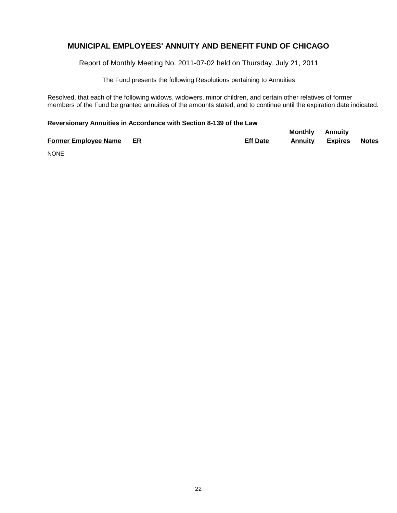Report of Monthly Meeting No. 2011-07-02 held on Thursday, July 21, 2011

The Fund presents the following Resolutions pertaining to Annuities

Resolved, that each of the following widows, widowers, minor children, and certain other relatives of former members of the Fund be granted annuities of the amounts stated, and to continue until the expiration date indicated.

#### **Reversionary Annuities in Accordance with Section 8-139 of the Law**

|                                |                 | <b>Monthly Annuity</b> |         |       |
|--------------------------------|-----------------|------------------------|---------|-------|
| <b>Former Employee Name ER</b> | <b>Eff Date</b> | Annuity                | Expires | Notes |

NONE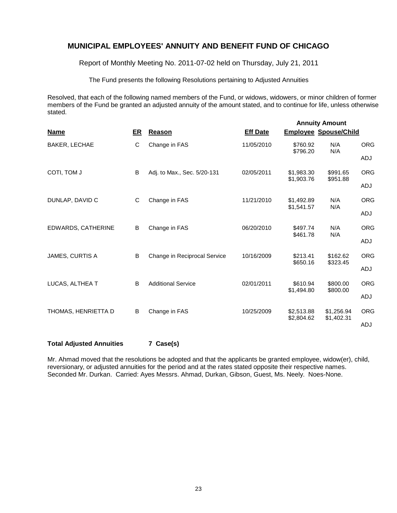Report of Monthly Meeting No. 2011-07-02 held on Thursday, July 21, 2011

The Fund presents the following Resolutions pertaining to Adjusted Annuities

Resolved, that each of the following named members of the Fund, or widows, widowers, or minor children of former members of the Fund be granted an adjusted annuity of the amount stated, and to continue for life, unless otherwise stated.

| <b>Name</b>            | ER | Reason                       | <b>Eff Date</b> |                          | <b>Annuity Amount</b><br><b>Employee Spouse/Child</b> |            |
|------------------------|----|------------------------------|-----------------|--------------------------|-------------------------------------------------------|------------|
| BAKER, LECHAE          | C  | Change in FAS                | 11/05/2010      | \$760.92<br>\$796.20     | N/A<br>N/A                                            | <b>ORG</b> |
|                        |    |                              |                 |                          |                                                       | ADJ        |
| COTI, TOM J            | B  | Adj. to Max., Sec. 5/20-131  | 02/05/2011      | \$1,983.30<br>\$1,903.76 | \$991.65<br>\$951.88                                  | <b>ORG</b> |
|                        |    |                              |                 |                          |                                                       | <b>ADJ</b> |
| DUNLAP, DAVID C        | C  | Change in FAS                | 11/21/2010      | \$1,492.89<br>\$1,541.57 | N/A<br>N/A                                            | <b>ORG</b> |
|                        |    |                              |                 |                          |                                                       | ADJ        |
| EDWARDS, CATHERINE     | B  | Change in FAS                | 06/20/2010      | \$497.74<br>\$461.78     | N/A<br>N/A                                            | <b>ORG</b> |
|                        |    |                              |                 |                          |                                                       | ADJ        |
| <b>JAMES, CURTIS A</b> | B  | Change in Reciprocal Service | 10/16/2009      | \$213.41<br>\$650.16     | \$162.62<br>\$323.45                                  | <b>ORG</b> |
|                        |    |                              |                 |                          |                                                       | <b>ADJ</b> |
| LUCAS, ALTHEA T        | B  | <b>Additional Service</b>    | 02/01/2011      | \$610.94<br>\$1,494.80   | \$800.00<br>\$800.00                                  | <b>ORG</b> |
|                        |    |                              |                 |                          |                                                       | ADJ        |
| THOMAS, HENRIETTA D    | B  | Change in FAS                | 10/25/2009      | \$2,513.88<br>\$2,804.62 | \$1,256.94<br>\$1,402.31                              | <b>ORG</b> |
|                        |    |                              |                 |                          |                                                       | ADJ        |

**Total Adjusted Annuities 7 Case(s)**

Mr. Ahmad moved that the resolutions be adopted and that the applicants be granted employee, widow(er), child, reversionary, or adjusted annuities for the period and at the rates stated opposite their respective names. Seconded Mr. Durkan. Carried: Ayes Messrs. Ahmad, Durkan, Gibson, Guest, Ms. Neely. Noes-None.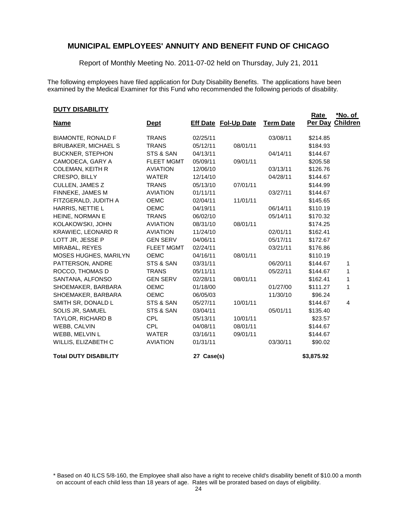Report of Monthly Meeting No. 2011-07-02 held on Thursday, July 21, 2011

The following employees have filed application for Duty Disability Benefits. The applications have been examined by the Medical Examiner for this Fund who recommended the following periods of disability.

#### **DUTY DISABILITY**

|                              |                   |            |                             |                  | <b>Rate</b> | <u>*No. of</u>  |
|------------------------------|-------------------|------------|-----------------------------|------------------|-------------|-----------------|
| <b>Name</b>                  | <u>Dept</u>       |            | <b>Eff Date Fol-Up Date</b> | <b>Term Date</b> | Per Day     | <b>Children</b> |
| <b>BIAMONTE, RONALD F</b>    | <b>TRANS</b>      | 02/25/11   |                             | 03/08/11         | \$214.85    |                 |
| <b>BRUBAKER, MICHAEL S</b>   | <b>TRANS</b>      | 05/12/11   | 08/01/11                    |                  | \$184.93    |                 |
| <b>BUCKNER, STEPHON</b>      | STS & SAN         | 04/13/11   |                             | 04/14/11         | \$144.67    |                 |
| CAMODECA, GARY A             | <b>FLEET MGMT</b> | 05/09/11   | 09/01/11                    |                  | \$205.58    |                 |
| <b>COLEMAN, KEITH R</b>      | <b>AVIATION</b>   | 12/06/10   |                             | 03/13/11         | \$126.76    |                 |
| CRESPO, BILLY                | <b>WATER</b>      | 12/14/10   |                             | 04/28/11         | \$144.67    |                 |
| <b>CULLEN, JAMES Z</b>       | <b>TRANS</b>      | 05/13/10   | 07/01/11                    |                  | \$144.99    |                 |
| FINNEKE, JAMES M             | <b>AVIATION</b>   | 01/11/11   |                             | 03/27/11         | \$144.67    |                 |
| FITZGERALD, JUDITH A         | <b>OEMC</b>       | 02/04/11   | 11/01/11                    |                  | \$145.65    |                 |
| HARRIS, NETTIE L             | <b>OEMC</b>       | 04/19/11   |                             | 06/14/11         | \$110.19    |                 |
| HEINE, NORMAN E              | <b>TRANS</b>      | 06/02/10   |                             | 05/14/11         | \$170.32    |                 |
| KOLAKOWSKI, JOHN             | <b>AVIATION</b>   | 08/31/10   | 08/01/11                    |                  | \$174.25    |                 |
| <b>KRAWIEC, LEONARD R</b>    | <b>AVIATION</b>   | 11/24/10   |                             | 02/01/11         | \$162.41    |                 |
| LOTT JR, JESSE P             | <b>GEN SERV</b>   | 04/06/11   |                             | 05/17/11         | \$172.67    |                 |
| MIRABAL, REYES               | <b>FLEET MGMT</b> | 02/24/11   |                             | 03/21/11         | \$176.86    |                 |
| MOSES HUGHES, MARILYN        | <b>OEMC</b>       | 04/16/11   | 08/01/11                    |                  | \$110.19    |                 |
| PATTERSON, ANDRE             | STS & SAN         | 03/31/11   |                             | 06/20/11         | \$144.67    | 1               |
| ROCCO, THOMAS D              | <b>TRANS</b>      | 05/11/11   |                             | 05/22/11         | \$144.67    | 1               |
| SANTANA, ALFONSO             | <b>GEN SERV</b>   | 02/28/11   | 08/01/11                    |                  | \$162.41    | 1               |
| SHOEMAKER, BARBARA           | <b>OEMC</b>       | 01/18/00   |                             | 01/27/00         | \$111.27    | 1               |
| SHOEMAKER, BARBARA           | <b>OEMC</b>       | 06/05/03   |                             | 11/30/10         | \$96.24     |                 |
| SMITH SR, DONALD L           | STS & SAN         | 05/27/11   | 10/01/11                    |                  | \$144.67    | $\overline{4}$  |
| SOLIS JR, SAMUEL             | STS & SAN         | 03/04/11   |                             | 05/01/11         | \$135.40    |                 |
| TAYLOR, RICHARD B            | <b>CPL</b>        | 05/13/11   | 10/01/11                    |                  | \$23.57     |                 |
| WEBB, CALVIN                 | <b>CPL</b>        | 04/08/11   | 08/01/11                    |                  | \$144.67    |                 |
| WEBB, MELVIN L               | <b>WATER</b>      | 03/16/11   | 09/01/11                    |                  | \$144.67    |                 |
| WILLIS, ELIZABETH C          | <b>AVIATION</b>   | 01/31/11   |                             | 03/30/11         | \$90.02     |                 |
| <b>Total DUTY DISABILITY</b> |                   | 27 Case(s) |                             |                  | \$3,875.92  |                 |

\* Based on 40 ILCS 5/8-160, the Employee shall also have a right to receive child's disability benefit of \$10.00 a month on account of each child less than 18 years of age. Rates will be prorated based on days of eligibility.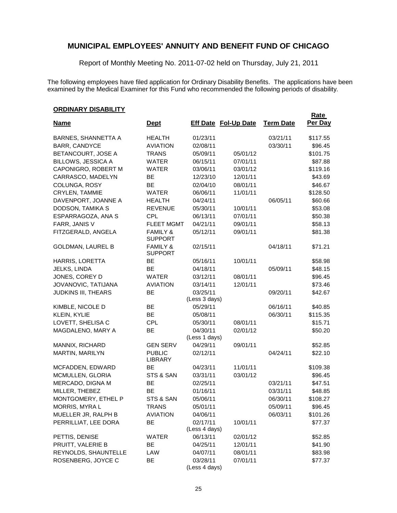Report of Monthly Meeting No. 2011-07-02 held on Thursday, July 21, 2011

The following employees have filed application for Ordinary Disability Benefits. The applications have been examined by the Medical Examiner for this Fund who recommended the following periods of disability.

#### **ORDINARY DISABILITY**

|                            |                                       |                           |                             |                  | <b>Rate</b> |
|----------------------------|---------------------------------------|---------------------------|-----------------------------|------------------|-------------|
| <b>Name</b>                | <b>Dept</b>                           |                           | <b>Eff Date Fol-Up Date</b> | <b>Term Date</b> | Per Day     |
| <b>BARNES, SHANNETTA A</b> | <b>HEALTH</b>                         | 01/23/11                  |                             | 03/21/11         | \$117.55    |
| BARR, CANDYCE              | <b>AVIATION</b>                       | 02/08/11                  |                             | 03/30/11         | \$96.45     |
| BETANCOURT, JOSE A         | <b>TRANS</b>                          | 05/09/11                  | 05/01/12                    |                  | \$101.75    |
| BILLOWS, JESSICA A         | <b>WATER</b>                          | 06/15/11                  | 07/01/11                    |                  | \$87.88     |
| CAPONIGRO, ROBERT M        | <b>WATER</b>                          | 03/06/11                  | 03/01/12                    |                  | \$119.16    |
| CARRASCO, MADELYN          | BE                                    | 12/23/10                  | 12/01/11                    |                  | \$43.69     |
| COLUNGA, ROSY              | <b>BE</b>                             | 02/04/10                  | 08/01/11                    |                  | \$46.67     |
| CRYLEN, TAMMIE             | <b>WATER</b>                          | 06/06/11                  | 11/01/11                    |                  | \$128.50    |
| DAVENPORT, JOANNE A        | <b>HEALTH</b>                         | 04/24/11                  |                             | 06/05/11         | \$60.66     |
| DODSON, TAMIKA S           | <b>REVENUE</b>                        | 05/30/11                  | 10/01/11                    |                  | \$53.08     |
| ESPARRAGOZA, ANA S         | CPL                                   | 06/13/11                  | 07/01/11                    |                  | \$50.38     |
| FARR, JANIS V              | <b>FLEET MGMT</b>                     | 04/21/11                  | 09/01/11                    |                  | \$58.13     |
| FITZGERALD, ANGELA         | <b>FAMILY &amp;</b><br><b>SUPPORT</b> | 05/12/11                  | 09/01/11                    |                  | \$81.38     |
| <b>GOLDMAN, LAUREL B</b>   | <b>FAMILY &amp;</b><br><b>SUPPORT</b> | 02/15/11                  |                             | 04/18/11         | \$71.21     |
| HARRIS, LORETTA            | BE                                    | 05/16/11                  | 10/01/11                    |                  | \$58.98     |
| JELKS, LINDA               | BE                                    | 04/18/11                  |                             | 05/09/11         | \$48.15     |
| JONES, COREY D             | <b>WATER</b>                          | 03/12/11                  | 08/01/11                    |                  | \$96.45     |
| JOVANOVIC, TATIJANA        | <b>AVIATION</b>                       | 03/14/11                  | 12/01/11                    |                  | \$73.46     |
| <b>JUDKINS III, THEARS</b> | BE                                    | 03/25/11<br>(Less 3 days) |                             | 09/20/11         | \$42.67     |
| KIMBLE, NICOLE D           | BE                                    | 05/29/11                  |                             | 06/16/11         | \$40.85     |
| KLEIN, KYLIE               | BE                                    | 05/08/11                  |                             | 06/30/11         | \$115.35    |
| LOVETT, SHELISA C          | <b>CPL</b>                            | 05/30/11                  | 08/01/11                    |                  | \$15.71     |
| MAGDALENO, MARY A          | BE                                    | 04/30/11<br>(Less 1 days) | 02/01/12                    |                  | \$50.20     |
| MANNIX, RICHARD            | <b>GEN SERV</b>                       | 04/29/11                  | 09/01/11                    |                  | \$52.85     |
| MARTIN, MARILYN            | <b>PUBLIC</b><br>LIBRARY              | 02/12/11                  |                             | 04/24/11         | \$22.10     |
| MCFADDEN, EDWARD           | BE                                    | 04/23/11                  | 11/01/11                    |                  | \$109.38    |
| MCMULLEN, GLORIA           | STS & SAN                             | 03/31/11                  | 03/01/12                    |                  | \$96.45     |
| MERCADO, DIGNA M           | BE                                    | 02/25/11                  |                             | 03/21/11         | \$47.51     |
| MILLER, THEBEZ             | <b>BE</b>                             | 01/16/11                  |                             | 03/31/11         | \$48.85     |
| MONTGOMERY, ETHEL P        | STS & SAN                             | 05/06/11                  |                             | 06/30/11         | \$108.27    |
| MORRIS, MYRAL              | <b>TRANS</b>                          | 05/01/11                  |                             | 05/09/11         | \$96.45     |
| MUELLER JR, RALPH B        | <b>AVIATION</b>                       | 04/06/11                  |                             | 06/03/11         | \$101.26    |
| PERRILLIAT, LEE DORA       | BE                                    | 02/17/11<br>(Less 4 days) | 10/01/11                    |                  | \$77.37     |
| PETTIS, DENISE             | <b>WATER</b>                          | 06/13/11                  | 02/01/12                    |                  | \$52.85     |
| PRUITT, VALERIE B          | BE                                    | 04/25/11                  | 12/01/11                    |                  | \$41.90     |
| REYNOLDS, SHAUNTELLE       | LAW                                   | 04/07/11                  | 08/01/11                    |                  | \$83.98     |
| ROSENBERG, JOYCE C         | BE                                    | 03/28/11<br>(Less 4 days) | 07/01/11                    |                  | \$77.37     |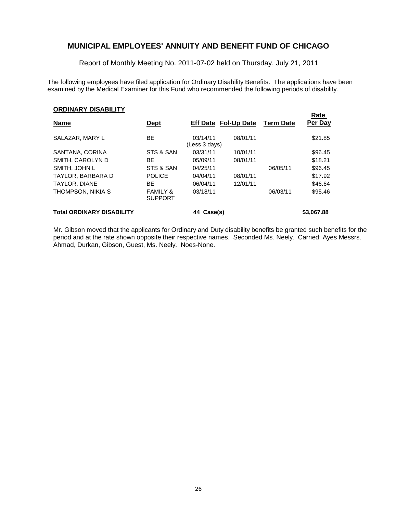Report of Monthly Meeting No. 2011-07-02 held on Thursday, July 21, 2011

The following employees have filed application for Ordinary Disability Benefits. The applications have been examined by the Medical Examiner for this Fund who recommended the following periods of disability.

**Rate** 

#### **ORDINARY DISABILITY**

| <b>Name</b>                      | <u>Dept</u>                           | <b>Eff Date Fol-Up Date</b> |          | <b>Term Date</b> | nale<br>Per Day |
|----------------------------------|---------------------------------------|-----------------------------|----------|------------------|-----------------|
| SALAZAR, MARY L                  | BE                                    | 03/14/11<br>(Less 3 days)   | 08/01/11 |                  | \$21.85         |
| SANTANA, CORINA                  | STS & SAN                             | 03/31/11                    | 10/01/11 |                  | \$96.45         |
| SMITH, CAROLYN D                 | ВE                                    | 05/09/11                    | 08/01/11 |                  | \$18.21         |
| SMITH, JOHN L                    | STS & SAN                             | 04/25/11                    |          | 06/05/11         | \$96.45         |
| TAYLOR, BARBARA D                | <b>POLICE</b>                         | 04/04/11                    | 08/01/11 |                  | \$17.92         |
| <b>TAYLOR, DIANE</b>             | ВE                                    | 06/04/11                    | 12/01/11 |                  | \$46.64         |
| THOMPSON, NIKIA S                | <b>FAMILY &amp;</b><br><b>SUPPORT</b> | 03/18/11                    |          | 06/03/11         | \$95.46         |
| <b>Total ORDINARY DISABILITY</b> |                                       | Case(s)<br>44               |          |                  | \$3,067.88      |

Mr. Gibson moved that the applicants for Ordinary and Duty disability benefits be granted such benefits for the period and at the rate shown opposite their respective names. Seconded Ms. Neely. Carried: Ayes Messrs. Ahmad, Durkan, Gibson, Guest, Ms. Neely. Noes-None.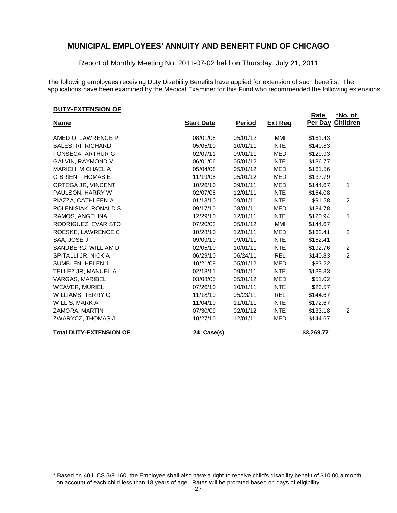Report of Monthly Meeting No. 2011-07-02 held on Thursday, July 21, 2011

The following employees receiving Duty Disability Benefits have applied for extension of such benefits. The applications have been examined by the Medical Examiner for this Fund who recommended the following extensions.

#### **DUTY-EXTENSION OF**

|                                |                   |               |                | <b>Rate</b> | <u>*No. of </u> |
|--------------------------------|-------------------|---------------|----------------|-------------|-----------------|
| <b>Name</b>                    | <b>Start Date</b> | <b>Period</b> | <b>Ext Reg</b> | Per Day     | <b>Children</b> |
| AMEDIO, LAWRENCE P             | 08/01/08          | 05/01/12      | MMI            | \$161.43    |                 |
| <b>BALESTRI, RICHARD</b>       | 05/05/10          | 10/01/11      | <b>NTE</b>     | \$140.83    |                 |
| FONSECA, ARTHUR G              | 02/07/11          | 09/01/11      | <b>MED</b>     | \$129.93    |                 |
| GALVIN, RAYMOND V              | 06/01/06          | 05/01/12      | <b>NTE</b>     | \$136.77    |                 |
| MARICH, MICHAEL A              | 05/04/08          | 05/01/12      | <b>MED</b>     | \$161.56    |                 |
| O BRIEN, THOMAS E              | 11/19/08          | 05/01/12      | <b>MED</b>     | \$137.79    |                 |
| ORTEGA JR, VINCENT             | 10/26/10          | 09/01/11      | <b>MED</b>     | \$144.67    | 1               |
| PAULSON, HARRY W               | 02/07/08          | 12/01/11      | <b>NTE</b>     | \$164.08    |                 |
| PIAZZA, CATHLEEN A             | 01/13/10          | 09/01/11      | <b>NTE</b>     | \$91.58     | $\overline{2}$  |
| POLENISIAK, RONALD S           | 09/17/10          | 08/01/11      | <b>MED</b>     | \$184.78    |                 |
| RAMOS, ANGELINA                | 12/29/10          | 12/01/11      | <b>NTE</b>     | \$120.94    | 1               |
| RODRIGUEZ, EVARISTO            | 07/20/02          | 05/01/12      | MMI            | \$144.67    |                 |
| ROESKE, LAWRENCE C             | 10/28/10          | 12/01/11      | MED            | \$162.41    | 2               |
| SAA, JOSE J                    | 09/09/10          | 09/01/11      | <b>NTE</b>     | \$162.41    |                 |
| SANDBERG, WILLIAM D            | 02/05/10          | 10/01/11      | <b>NTE</b>     | \$192.76    | $\overline{c}$  |
| SPITALLI JR, NICK A            | 06/29/10          | 06/24/11      | <b>REL</b>     | \$140.83    | $\overline{2}$  |
| SUMBLEN, HELEN J               | 10/21/09          | 05/01/12      | <b>MED</b>     | \$83.22     |                 |
| TELLEZ JR, MANUEL A            | 02/18/11          | 09/01/11      | <b>NTE</b>     | \$139.33    |                 |
| VARGAS, MARIBEL                | 03/08/05          | 05/01/12      | <b>MED</b>     | \$51.02     |                 |
| <b>WEAVER, MURIEL</b>          | 07/26/10          | 10/01/11      | <b>NTE</b>     | \$23.57     |                 |
| <b>WILLIAMS, TERRY C</b>       | 11/18/10          | 05/23/11      | <b>REL</b>     | \$144.67    |                 |
| WILLIS, MARK A                 | 11/04/10          | 11/01/11      | <b>NTE</b>     | \$172.67    |                 |
| ZAMORA, MARTIN                 | 07/30/09          | 02/01/12      | <b>NTE</b>     | \$133.18    | 2               |
| ZWARYCZ, THOMAS J              | 10/27/10          | 12/01/11      | <b>MED</b>     | \$144.67    |                 |
| <b>Total DUTY-EXTENSION OF</b> | 24 Case(s)        |               |                | \$3,269.77  |                 |

\* Based on 40 ILCS 5/8-160, the Employee shall also have a right to receive child's disability benefit of \$10.00 a month on account of each child less than 18 years of age. Rates will be prorated based on days of eligibility.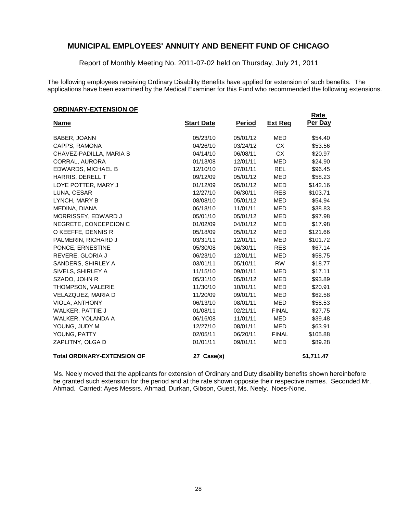Report of Monthly Meeting No. 2011-07-02 held on Thursday, July 21, 2011

The following employees receiving Ordinary Disability Benefits have applied for extension of such benefits. The applications have been examined by the Medical Examiner for this Fund who recommended the following extensions.

**Rate** 

#### **ORDINARY-EXTENSION OF**

| <u>Name</u>                        | <b>Start Date</b> | <b>Period</b> | <u>Ext Req</u> | Per Day    |
|------------------------------------|-------------------|---------------|----------------|------------|
| <b>BABER, JOANN</b>                | 05/23/10          | 05/01/12      | <b>MED</b>     | \$54.40    |
| CAPPS, RAMONA                      | 04/26/10          | 03/24/12      | <b>CX</b>      | \$53.56    |
| CHAVEZ-PADILLA, MARIA S            | 04/14/10          | 06/08/11      | <b>CX</b>      | \$20.97    |
| CORRAL, AURORA                     | 01/13/08          | 12/01/11      | <b>MED</b>     | \$24.90    |
| EDWARDS, MICHAEL B                 | 12/10/10          | 07/01/11      | <b>REL</b>     | \$96.45    |
| HARRIS, DERELL T                   | 09/12/09          | 05/01/12      | <b>MED</b>     | \$58.23    |
| LOYE POTTER, MARY J                | 01/12/09          | 05/01/12      | <b>MED</b>     | \$142.16   |
| LUNA, CESAR                        | 12/27/10          | 06/30/11      | <b>RES</b>     | \$103.71   |
| LYNCH, MARY B                      | 08/08/10          | 05/01/12      | <b>MED</b>     | \$54.94    |
| MEDINA, DIANA                      | 06/18/10          | 11/01/11      | <b>MED</b>     | \$38.83    |
| MORRISSEY, EDWARD J                | 05/01/10          | 05/01/12      | <b>MED</b>     | \$97.98    |
| NEGRETE, CONCEPCION C              | 01/02/09          | 04/01/12      | MED            | \$17.98    |
| O KEEFFE, DENNIS R                 | 05/18/09          | 05/01/12      | <b>MED</b>     | \$121.66   |
| PALMERIN, RICHARD J                | 03/31/11          | 12/01/11      | <b>MED</b>     | \$101.72   |
| PONCE, ERNESTINE                   | 05/30/08          | 06/30/11      | <b>RES</b>     | \$67.14    |
| REVERE, GLORIA J                   | 06/23/10          | 12/01/11      | <b>MED</b>     | \$58.75    |
| SANDERS, SHIRLEY A                 | 03/01/11          | 05/10/11      | <b>RW</b>      | \$18.77    |
| SIVELS, SHIRLEY A                  | 11/15/10          | 09/01/11      | <b>MED</b>     | \$17.11    |
| SZADO, JOHN R                      | 05/31/10          | 05/01/12      | <b>MED</b>     | \$93.89    |
| THOMPSON, VALERIE                  | 11/30/10          | 10/01/11      | <b>MED</b>     | \$20.91    |
| VELAZQUEZ, MARIA D                 | 11/20/09          | 09/01/11      | <b>MED</b>     | \$62.58    |
| VIOLA, ANTHONY                     | 06/13/10          | 08/01/11      | <b>MED</b>     | \$58.53    |
| <b>WALKER, PATTIE J</b>            | 01/08/11          | 02/21/11      | <b>FINAL</b>   | \$27.75    |
| WALKER, YOLANDA A                  | 06/16/08          | 11/01/11      | <b>MED</b>     | \$39.48    |
| YOUNG, JUDY M                      | 12/27/10          | 08/01/11      | <b>MED</b>     | \$63.91    |
| YOUNG, PATTY                       | 02/05/11          | 06/20/11      | <b>FINAL</b>   | \$105.88   |
| ZAPLITNY, OLGA D                   | 01/01/11          | 09/01/11      | <b>MED</b>     | \$89.28    |
| <b>Total ORDINARY-EXTENSION OF</b> | 27 Case(s)        |               |                | \$1,711.47 |

Ms. Neely moved that the applicants for extension of Ordinary and Duty disability benefits shown hereinbefore be granted such extension for the period and at the rate shown opposite their respective names. Seconded Mr. Ahmad. Carried: Ayes Messrs. Ahmad, Durkan, Gibson, Guest, Ms. Neely. Noes-None.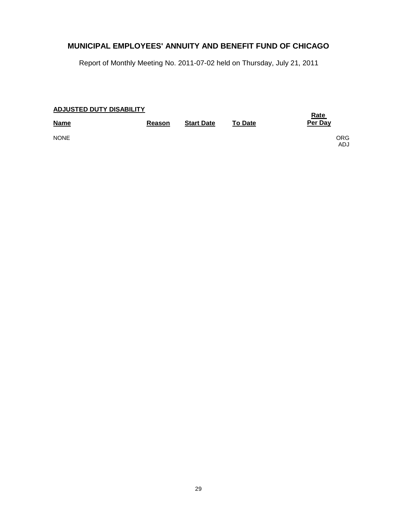|  | <b>ADJUSTED DUTY DISABILITY</b> |  |
|--|---------------------------------|--|
|  |                                 |  |

| <b>Name</b> | Reason | <b>Start Date</b> | <b>To Date</b> | <u>Rate</u><br>Per Day |
|-------------|--------|-------------------|----------------|------------------------|
| <b>NONE</b> |        |                   |                | ORG.<br>ADJ            |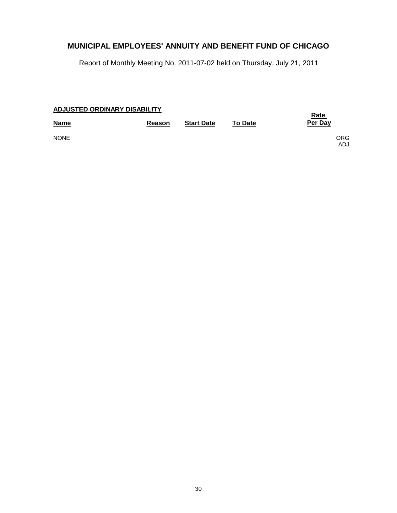|  | <b>ADJUSTED ORDINARY DISABILITY</b> |  |
|--|-------------------------------------|--|
|  |                                     |  |

| $1.999901 \pm 5.0011$<br><b>Name</b> | Reason | <b>Start Date</b> | <b>To Date</b> | <u>Rate</u><br>Per Day |
|--------------------------------------|--------|-------------------|----------------|------------------------|
| <b>NONE</b>                          |        |                   |                | ORG.<br>ADJ            |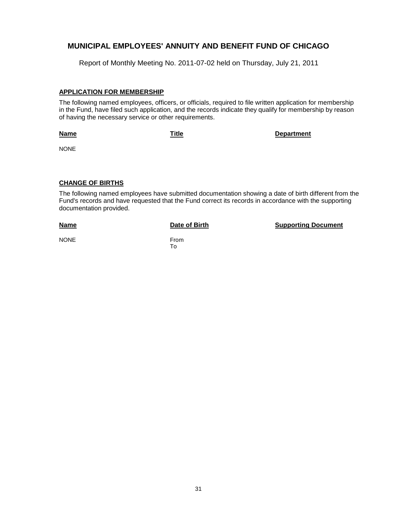Report of Monthly Meeting No. 2011-07-02 held on Thursday, July 21, 2011

#### **APPLICATION FOR MEMBERSHIP**

The following named employees, officers, or officials, required to file written application for membership in the Fund, have filed such application, and the records indicate they qualify for membership by reason of having the necessary service or other requirements.

#### **Name**

**Title Department**

NONE

#### **CHANGE OF BIRTHS**

The following named employees have submitted documentation showing a date of birth different from the Fund's records and have requested that the Fund correct its records in accordance with the supporting documentation provided.

#### **Name**

**Date of Birth Supporting Document** 

NONE From

To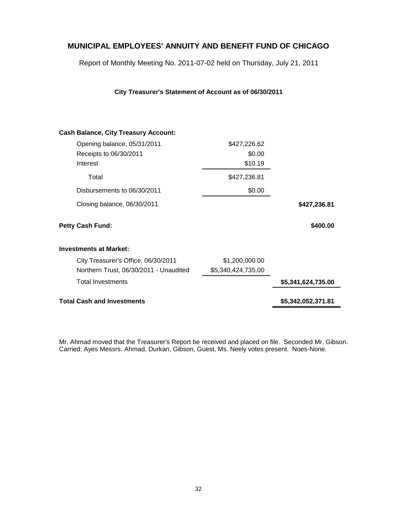Report of Monthly Meeting No. 2011-07-02 held on Thursday, July 21, 2011

| City Treasurer's Statement of Account as of 06/30/2011 |  |  |  |
|--------------------------------------------------------|--|--|--|
|--------------------------------------------------------|--|--|--|

| <b>Cash Balance, City Treasury Account:</b> |                    |                    |
|---------------------------------------------|--------------------|--------------------|
| Opening balance, 05/31/2011                 | \$427,226.62       |                    |
| Receipts to 06/30/2011                      | \$0.00             |                    |
| Interest                                    | \$10.19            |                    |
| Total                                       | \$427,236.81       |                    |
| Disbursements to 06/30/2011                 | \$0.00             |                    |
| Closing balance, 06/30/2011                 |                    | \$427,236.81       |
| <b>Petty Cash Fund:</b>                     |                    | \$400.00           |
| <b>Investments at Market:</b>               |                    |                    |
| City Treasurer's Office, 06/30/2011         | \$1,200,000.00     |                    |
| Northern Trust, 06/30/2011 - Unaudited      | \$5,340,424,735.00 |                    |
| <b>Total Investments</b>                    |                    | \$5,341,624,735.00 |
| <b>Total Cash and Investments</b>           |                    | \$5,342,052,371.81 |
|                                             |                    |                    |

Mr. Ahmad moved that the Treasurer's Report be received and placed on file. Seconded Mr. Gibson. Carried: Ayes Messrs. Ahmad, Durkan, Gibson, Guest, Ms. Neely votes present. Noes-None.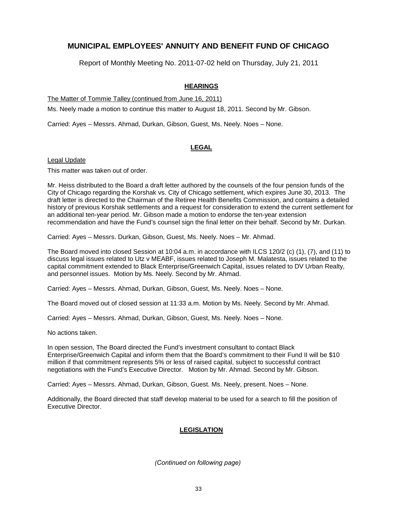Report of Monthly Meeting No. 2011-07-02 held on Thursday, July 21, 2011

### **HEARINGS**

The Matter of Tommie Talley (continued from June 16, 2011)

Ms. Neely made a motion to continue this matter to August 18, 2011. Second by Mr. Gibson.

Carried: Ayes – Messrs. Ahmad, Durkan, Gibson, Guest, Ms. Neely. Noes – None.

### **LEGAL**

Legal Update

This matter was taken out of order.

Mr. Heiss distributed to the Board a draft letter authored by the counsels of the four pension funds of the City of Chicago regarding the Korshak vs. City of Chicago settlement, which expires June 30, 2013. The draft letter is directed to the Chairman of the Retiree Health Benefits Commission, and contains a detailed history of previous Korshak settlements and a request for consideration to extend the current settlement for an additional ten-year period. Mr. Gibson made a motion to endorse the ten-year extension recommendation and have the Fund's counsel sign the final letter on their behalf. Second by Mr. Durkan.

Carried: Ayes – Messrs. Durkan, Gibson, Guest, Ms. Neely. Noes – Mr. Ahmad.

The Board moved into closed Session at 10:04 a.m. in accordance with ILCS 120/2 (c) (1), (7), and (11) to discuss legal issues related to Utz v MEABF, issues related to Joseph M. Malatesta, issues related to the capital commitment extended to Black Enterprise/Greenwich Capital, issues related to DV Urban Realty, and personnel issues. Motion by Ms. Neely. Second by Mr. Ahmad.

Carried: Ayes – Messrs. Ahmad, Durkan, Gibson, Guest, Ms. Neely. Noes – None.

The Board moved out of closed session at 11:33 a.m. Motion by Ms. Neely. Second by Mr. Ahmad.

Carried: Ayes – Messrs. Ahmad, Durkan, Gibson, Guest, Ms. Neely. Noes – None.

No actions taken.

In open session, The Board directed the Fund's investment consultant to contact Black Enterprise/Greenwich Capital and inform them that the Board's commitment to their Fund II will be \$10 million if that commitment represents 5% or less of raised capital, subject to successful contract negotiations with the Fund's Executive Director. Motion by Mr. Ahmad. Second by Mr. Gibson.

Carried: Ayes – Messrs. Ahmad, Durkan, Gibson, Guest. Ms. Neely, present. Noes – None.

Additionally, the Board directed that staff develop material to be used for a search to fill the position of Executive Director.

### **LEGISLATION**

*(Continued on following page)*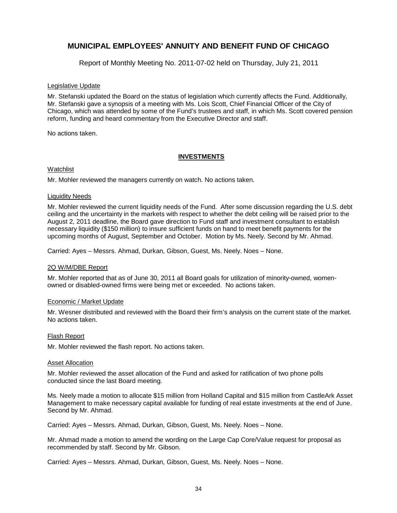Report of Monthly Meeting No. 2011-07-02 held on Thursday, July 21, 2011

#### Legislative Update

Mr. Stefanski updated the Board on the status of legislation which currently affects the Fund. Additionally, Mr. Stefanski gave a synopsis of a meeting with Ms. Lois Scott, Chief Financial Officer of the City of Chicago, which was attended by some of the Fund's trustees and staff, in which Ms. Scott covered pension reform, funding and heard commentary from the Executive Director and staff.

No actions taken.

#### **INVESTMENTS**

#### Watchlist

Mr. Mohler reviewed the managers currently on watch. No actions taken.

#### Liquidity Needs

Mr. Mohler reviewed the current liquidity needs of the Fund. After some discussion regarding the U.S. debt ceiling and the uncertainty in the markets with respect to whether the debt ceiling will be raised prior to the August 2, 2011 deadline, the Board gave direction to Fund staff and investment consultant to establish necessary liquidity (\$150 million) to insure sufficient funds on hand to meet benefit payments for the upcoming months of August, September and October. Motion by Ms. Neely. Second by Mr. Ahmad.

Carried: Ayes – Messrs. Ahmad, Durkan, Gibson, Guest, Ms. Neely. Noes – None.

#### 2Q W/M/DBE Report

Mr. Mohler reported that as of June 30, 2011 all Board goals for utilization of minority-owned, womenowned or disabled-owned firms were being met or exceeded. No actions taken.

#### Economic / Market Update

Mr. Wesner distributed and reviewed with the Board their firm's analysis on the current state of the market. No actions taken.

#### Flash Report

Mr. Mohler reviewed the flash report. No actions taken.

#### Asset Allocation

Mr. Mohler reviewed the asset allocation of the Fund and asked for ratification of two phone polls conducted since the last Board meeting.

Ms. Neely made a motion to allocate \$15 million from Holland Capital and \$15 million from CastleArk Asset Management to make necessary capital available for funding of real estate investments at the end of June. Second by Mr. Ahmad.

Carried: Ayes – Messrs. Ahmad, Durkan, Gibson, Guest, Ms. Neely. Noes – None.

Mr. Ahmad made a motion to amend the wording on the Large Cap Core/Value request for proposal as recommended by staff. Second by Mr. Gibson.

Carried: Ayes – Messrs. Ahmad, Durkan, Gibson, Guest, Ms. Neely. Noes – None.